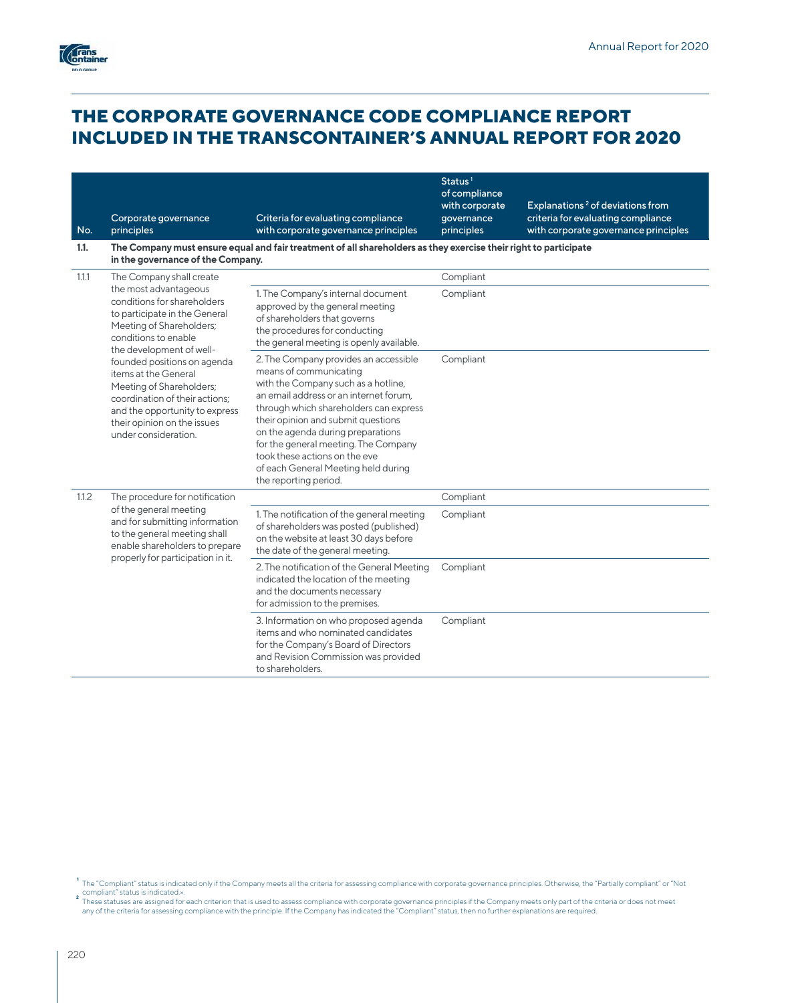

# **THE CORPORATE GOVERNANCE CODE COMPLIANCE REPORT INCLUDED IN THE TRANSCONTAINER'S ANNUAL REPORT FOR 2020**

| No.<br>1.1. | Corporate governance<br>principles                                                                                                                                                                                                     | Criteria for evaluating compliance<br>with corporate governance principles<br>The Company must ensure equal and fair treatment of all shareholders as they exercise their right to participate                                                                                                                                                                                                                 | Status <sup>1</sup><br>of compliance<br>with corporate<br>qovernance<br>principles | Explanations <sup>2</sup> of deviations from<br>criteria for evaluating compliance<br>with corporate governance principles |
|-------------|----------------------------------------------------------------------------------------------------------------------------------------------------------------------------------------------------------------------------------------|----------------------------------------------------------------------------------------------------------------------------------------------------------------------------------------------------------------------------------------------------------------------------------------------------------------------------------------------------------------------------------------------------------------|------------------------------------------------------------------------------------|----------------------------------------------------------------------------------------------------------------------------|
| 1.1.1       | in the governance of the Company.<br>The Company shall create                                                                                                                                                                          |                                                                                                                                                                                                                                                                                                                                                                                                                | Compliant                                                                          |                                                                                                                            |
|             | the most advantageous<br>conditions for shareholders<br>to participate in the General<br>Meeting of Shareholders;<br>conditions to enable                                                                                              | 1. The Company's internal document<br>approved by the general meeting<br>of shareholders that governs<br>the procedures for conducting<br>the general meeting is openly available.                                                                                                                                                                                                                             | Compliant                                                                          |                                                                                                                            |
|             | the development of well-<br>founded positions on agenda<br>items at the General<br>Meeting of Shareholders;<br>coordination of their actions;<br>and the opportunity to express<br>their opinion on the issues<br>under consideration. | 2. The Company provides an accessible<br>means of communicating<br>with the Company such as a hotline,<br>an email address or an internet forum,<br>through which shareholders can express<br>their opinion and submit questions<br>on the agenda during preparations<br>for the general meeting. The Company<br>took these actions on the eve<br>of each General Meeting held during<br>the reporting period. | Compliant                                                                          |                                                                                                                            |
| 1.1.2       | The procedure for notification                                                                                                                                                                                                         |                                                                                                                                                                                                                                                                                                                                                                                                                | Compliant                                                                          |                                                                                                                            |
|             | of the general meeting<br>and for submitting information<br>to the general meeting shall<br>enable shareholders to prepare<br>properly for participation in it.                                                                        | 1. The notification of the general meeting<br>of shareholders was posted (published)<br>on the website at least 30 days before<br>the date of the general meeting.                                                                                                                                                                                                                                             | Compliant                                                                          |                                                                                                                            |
|             |                                                                                                                                                                                                                                        | 2. The notification of the General Meeting<br>indicated the location of the meeting<br>and the documents necessary<br>for admission to the premises.                                                                                                                                                                                                                                                           | Compliant                                                                          |                                                                                                                            |
|             |                                                                                                                                                                                                                                        | 3. Information on who proposed agenda<br>items and who nominated candidates<br>for the Company's Board of Directors<br>and Revision Commission was provided<br>to shareholders.                                                                                                                                                                                                                                | Compliant                                                                          |                                                                                                                            |

The "Compliant" status is indicated only if the Company meets all the criteria for assessing compliance with corporate governance principles. Otherwise, the "Partially compliant" or "Not<br>These statuses are assigned for eac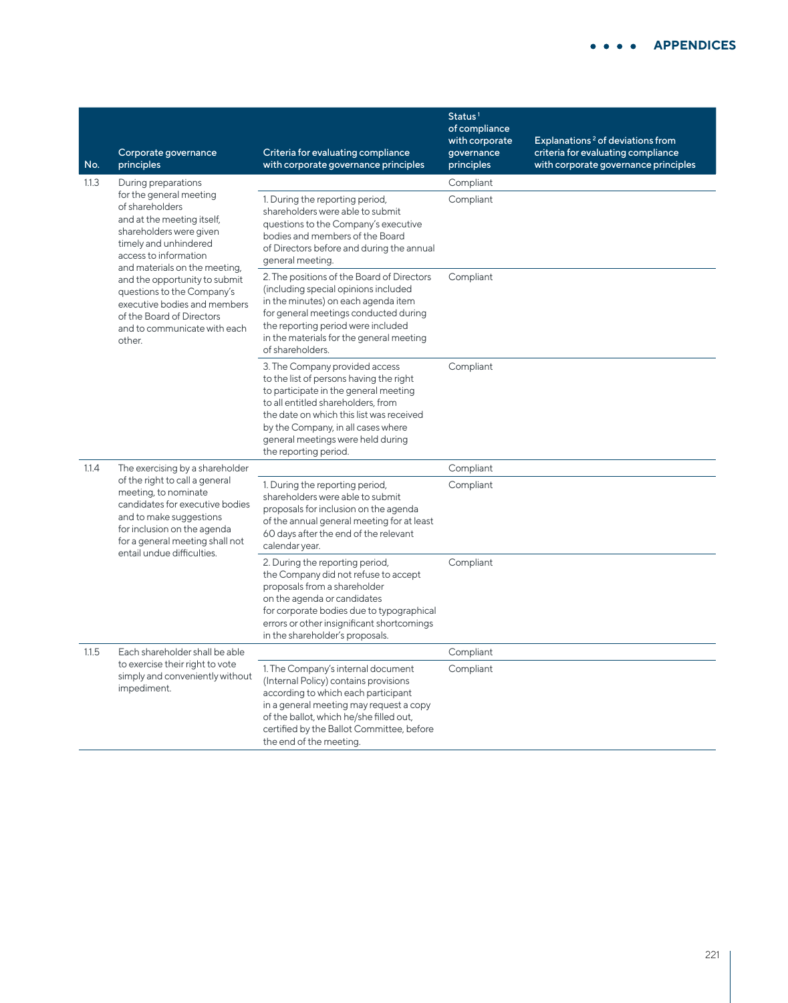| No.   | Corporate governance<br>principles                                                                                                                                                                                                                                                                                                                                                  | Criteria for evaluating compliance<br>with corporate governance principles                                                                                                                                                                                                                               | Status <sup>1</sup><br>of compliance<br>with corporate<br>governance<br>principles | Explanations <sup>2</sup> of deviations from<br>criteria for evaluating compliance<br>with corporate governance principles |
|-------|-------------------------------------------------------------------------------------------------------------------------------------------------------------------------------------------------------------------------------------------------------------------------------------------------------------------------------------------------------------------------------------|----------------------------------------------------------------------------------------------------------------------------------------------------------------------------------------------------------------------------------------------------------------------------------------------------------|------------------------------------------------------------------------------------|----------------------------------------------------------------------------------------------------------------------------|
| 1.1.3 | During preparations<br>for the general meeting<br>of shareholders<br>and at the meeting itself,<br>shareholders were given<br>timely and unhindered<br>access to information<br>and materials on the meeting,<br>and the opportunity to submit<br>questions to the Company's<br>executive bodies and members<br>of the Board of Directors<br>and to communicate with each<br>other. | 1. During the reporting period,<br>shareholders were able to submit<br>questions to the Company's executive<br>bodies and members of the Board<br>of Directors before and during the annual<br>general meeting.                                                                                          | Compliant<br>Compliant                                                             |                                                                                                                            |
|       |                                                                                                                                                                                                                                                                                                                                                                                     | 2. The positions of the Board of Directors<br>(including special opinions included<br>in the minutes) on each agenda item<br>for general meetings conducted during<br>the reporting period were included<br>in the materials for the general meeting<br>of shareholders.                                 | Compliant                                                                          |                                                                                                                            |
|       |                                                                                                                                                                                                                                                                                                                                                                                     | 3. The Company provided access<br>to the list of persons having the right<br>to participate in the general meeting<br>to all entitled shareholders, from<br>the date on which this list was received<br>by the Company, in all cases where<br>general meetings were held during<br>the reporting period. | Compliant                                                                          |                                                                                                                            |
| 1.1.4 | The exercising by a shareholder                                                                                                                                                                                                                                                                                                                                                     |                                                                                                                                                                                                                                                                                                          | Compliant                                                                          |                                                                                                                            |
|       | of the right to call a general<br>meeting, to nominate<br>candidates for executive bodies<br>and to make suggestions<br>for inclusion on the agenda<br>for a general meeting shall not                                                                                                                                                                                              | 1. During the reporting period,<br>shareholders were able to submit<br>proposals for inclusion on the agenda<br>of the annual general meeting for at least<br>60 days after the end of the relevant<br>calendar year.                                                                                    | Compliant                                                                          |                                                                                                                            |
|       | entail undue difficulties.                                                                                                                                                                                                                                                                                                                                                          | 2. During the reporting period,<br>the Company did not refuse to accept<br>proposals from a shareholder<br>on the agenda or candidates<br>for corporate bodies due to typographical<br>errors or other insignificant shortcomings<br>in the shareholder's proposals.                                     | Compliant                                                                          |                                                                                                                            |
| 1.1.5 | Each shareholder shall be able                                                                                                                                                                                                                                                                                                                                                      |                                                                                                                                                                                                                                                                                                          | Compliant                                                                          |                                                                                                                            |
|       | to exercise their right to vote<br>simply and conveniently without<br>impediment.                                                                                                                                                                                                                                                                                                   | 1. The Company's internal document<br>(Internal Policy) contains provisions<br>according to which each participant<br>in a general meeting may request a copy<br>of the ballot, which he/she filled out,<br>certified by the Ballot Committee, before<br>the end of the meeting.                         | Compliant                                                                          |                                                                                                                            |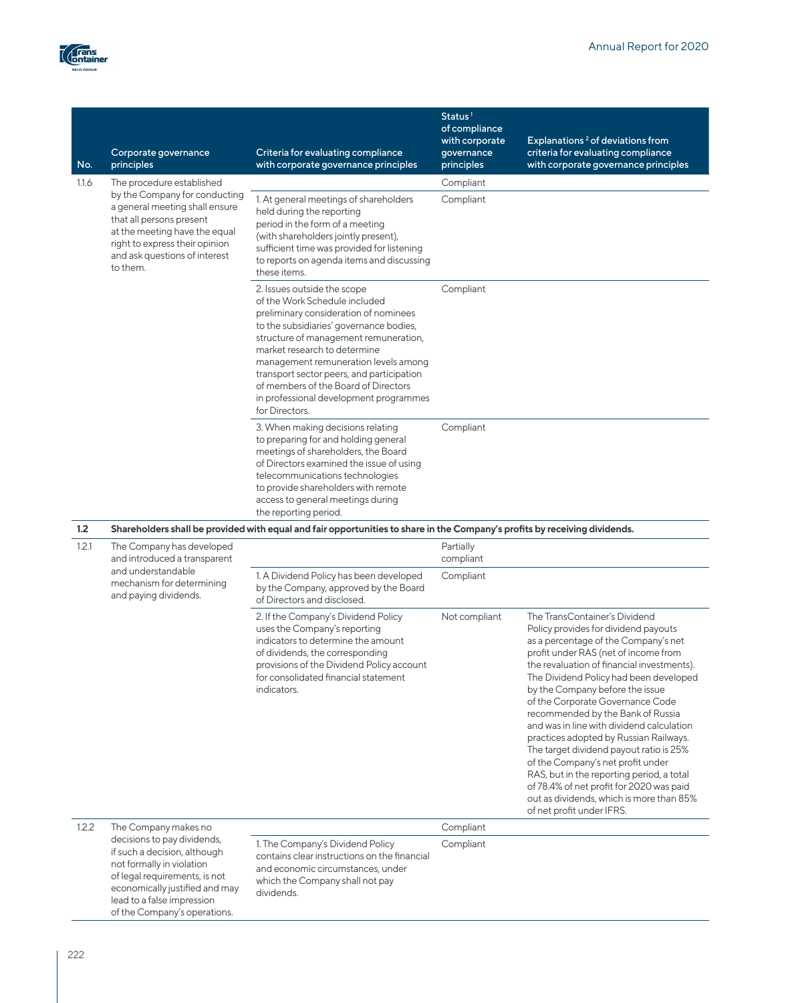

| No.   | Corporate governance<br>principles                                                                                                                                                                          | Criteria for evaluating compliance<br>with corporate governance principles                                                                                                                                                                                                                                                                                                                                         | Status <sup>1</sup><br>of compliance<br>with corporate<br>governance<br>principles | Explanations <sup>2</sup> of deviations from<br>criteria for evaluating compliance<br>with corporate governance principles                                                                                                                                                                                                                                                                                                                                                                                                                                                                                                                                                                         |
|-------|-------------------------------------------------------------------------------------------------------------------------------------------------------------------------------------------------------------|--------------------------------------------------------------------------------------------------------------------------------------------------------------------------------------------------------------------------------------------------------------------------------------------------------------------------------------------------------------------------------------------------------------------|------------------------------------------------------------------------------------|----------------------------------------------------------------------------------------------------------------------------------------------------------------------------------------------------------------------------------------------------------------------------------------------------------------------------------------------------------------------------------------------------------------------------------------------------------------------------------------------------------------------------------------------------------------------------------------------------------------------------------------------------------------------------------------------------|
| 1.1.6 | The procedure established                                                                                                                                                                                   |                                                                                                                                                                                                                                                                                                                                                                                                                    | Compliant                                                                          |                                                                                                                                                                                                                                                                                                                                                                                                                                                                                                                                                                                                                                                                                                    |
|       | by the Company for conducting<br>a general meeting shall ensure<br>that all persons present<br>at the meeting have the equal<br>right to express their opinion<br>and ask questions of interest<br>to them. | 1. At general meetings of shareholders<br>held during the reporting<br>period in the form of a meeting<br>(with shareholders jointly present),<br>sufficient time was provided for listening<br>to reports on agenda items and discussing<br>these items.                                                                                                                                                          | Compliant                                                                          |                                                                                                                                                                                                                                                                                                                                                                                                                                                                                                                                                                                                                                                                                                    |
|       |                                                                                                                                                                                                             | 2. Issues outside the scope<br>of the Work Schedule included<br>preliminary consideration of nominees<br>to the subsidiaries' governance bodies,<br>structure of management remuneration,<br>market research to determine<br>management remuneration levels among<br>transport sector peers, and participation<br>of members of the Board of Directors<br>in professional development programmes<br>for Directors. | Compliant                                                                          |                                                                                                                                                                                                                                                                                                                                                                                                                                                                                                                                                                                                                                                                                                    |
|       |                                                                                                                                                                                                             | 3. When making decisions relating<br>to preparing for and holding general<br>meetings of shareholders, the Board<br>of Directors examined the issue of using<br>telecommunications technologies<br>to provide shareholders with remote<br>access to general meetings during<br>the reporting period.                                                                                                               | Compliant                                                                          |                                                                                                                                                                                                                                                                                                                                                                                                                                                                                                                                                                                                                                                                                                    |
| 1.2   |                                                                                                                                                                                                             | Shareholders shall be provided with equal and fair opportunities to share in the Company's profits by receiving dividends.                                                                                                                                                                                                                                                                                         |                                                                                    |                                                                                                                                                                                                                                                                                                                                                                                                                                                                                                                                                                                                                                                                                                    |
| 1.2.1 | The Company has developed<br>and introduced a transparent                                                                                                                                                   |                                                                                                                                                                                                                                                                                                                                                                                                                    | Partially<br>compliant                                                             |                                                                                                                                                                                                                                                                                                                                                                                                                                                                                                                                                                                                                                                                                                    |
|       | and understandable<br>mechanism for determining<br>and paying dividends.                                                                                                                                    | 1. A Dividend Policy has been developed<br>by the Company, approved by the Board<br>of Directors and disclosed.                                                                                                                                                                                                                                                                                                    | Compliant                                                                          |                                                                                                                                                                                                                                                                                                                                                                                                                                                                                                                                                                                                                                                                                                    |
|       |                                                                                                                                                                                                             | 2. If the Company's Dividend Policy<br>uses the Company's reporting<br>indicators to determine the amount<br>of dividends, the corresponding<br>provisions of the Dividend Policy account<br>for consolidated financial statement<br>indicators.                                                                                                                                                                   | Not compliant                                                                      | The TransContainer's Dividend<br>Policy provides for dividend payouts<br>as a percentage of the Company's net<br>profit under RAS (net of income from<br>the revaluation of financial investments).<br>The Dividend Policy had been developed<br>by the Company before the issue<br>of the Corporate Governance Code<br>recommended by the Bank of Russia<br>and was in line with dividend calculation<br>practices adopted by Russian Railways.<br>The target dividend payout ratio is 25%<br>of the Company's net profit under<br>RAS, but in the reporting period, a total<br>of 78.4% of net profit for 2020 was paid<br>out as dividends, which is more than 85%<br>of net profit under IFRS. |
|       | The Company makes no                                                                                                                                                                                        |                                                                                                                                                                                                                                                                                                                                                                                                                    | Compliant                                                                          |                                                                                                                                                                                                                                                                                                                                                                                                                                                                                                                                                                                                                                                                                                    |

decisions to pay dividends, if such a decision, although not formally in violation of legal requirements, is not economically justified and may lead to a false impression of the Company's operations.

Compliant

1. The Company's Dividend Policy contains clear instructions on the financial and economic circumstances, under which the Company shall not pay

dividends.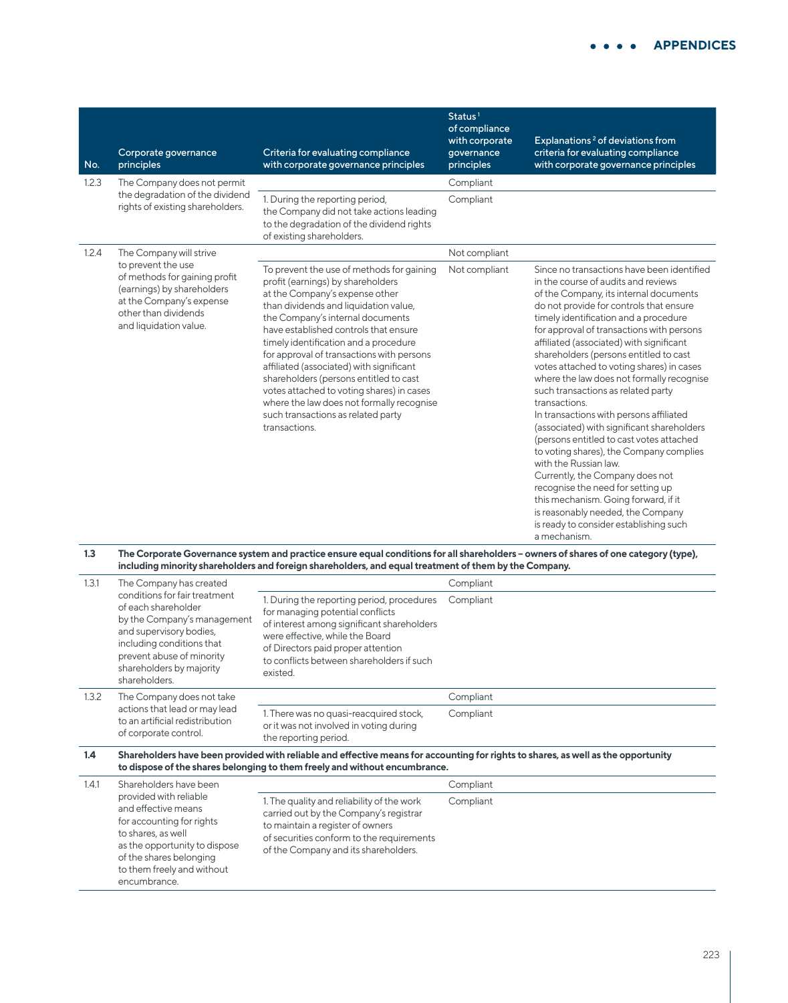| No.   | Corporate governance<br>principles                                                                                                                              | Criteria for evaluating compliance<br>with corporate governance principles                                                                                                                                                                                                                                                                                                                                                                                                                                                                                          | Status <sup>1</sup><br>of compliance<br>with corporate<br>qovernance<br>principles | Explanations <sup>2</sup> of deviations from<br>criteria for evaluating compliance<br>with corporate governance principles                                                                                                                                                                                                                                                                                                                                                                                                                                                                                                                                                                                                                                                                                                                                                                                                  |
|-------|-----------------------------------------------------------------------------------------------------------------------------------------------------------------|---------------------------------------------------------------------------------------------------------------------------------------------------------------------------------------------------------------------------------------------------------------------------------------------------------------------------------------------------------------------------------------------------------------------------------------------------------------------------------------------------------------------------------------------------------------------|------------------------------------------------------------------------------------|-----------------------------------------------------------------------------------------------------------------------------------------------------------------------------------------------------------------------------------------------------------------------------------------------------------------------------------------------------------------------------------------------------------------------------------------------------------------------------------------------------------------------------------------------------------------------------------------------------------------------------------------------------------------------------------------------------------------------------------------------------------------------------------------------------------------------------------------------------------------------------------------------------------------------------|
| 1.2.3 | The Company does not permit                                                                                                                                     |                                                                                                                                                                                                                                                                                                                                                                                                                                                                                                                                                                     | Compliant                                                                          |                                                                                                                                                                                                                                                                                                                                                                                                                                                                                                                                                                                                                                                                                                                                                                                                                                                                                                                             |
|       | the degradation of the dividend<br>rights of existing shareholders.                                                                                             | 1. During the reporting period,<br>the Company did not take actions leading<br>to the degradation of the dividend rights<br>of existing shareholders.                                                                                                                                                                                                                                                                                                                                                                                                               | Compliant                                                                          |                                                                                                                                                                                                                                                                                                                                                                                                                                                                                                                                                                                                                                                                                                                                                                                                                                                                                                                             |
| 1.2.4 | The Company will strive                                                                                                                                         |                                                                                                                                                                                                                                                                                                                                                                                                                                                                                                                                                                     | Not compliant                                                                      |                                                                                                                                                                                                                                                                                                                                                                                                                                                                                                                                                                                                                                                                                                                                                                                                                                                                                                                             |
|       | to prevent the use<br>of methods for gaining profit<br>(earnings) by shareholders<br>at the Company's expense<br>other than dividends<br>and liquidation value. | To prevent the use of methods for gaining<br>profit (earnings) by shareholders<br>at the Company's expense other<br>than dividends and liquidation value,<br>the Company's internal documents<br>have established controls that ensure<br>timely identification and a procedure<br>for approval of transactions with persons<br>affiliated (associated) with significant<br>shareholders (persons entitled to cast<br>votes attached to voting shares) in cases<br>where the law does not formally recognise<br>such transactions as related party<br>transactions. | Not compliant                                                                      | Since no transactions have been identified<br>in the course of audits and reviews<br>of the Company, its internal documents<br>do not provide for controls that ensure<br>timely identification and a procedure<br>for approval of transactions with persons<br>affiliated (associated) with significant<br>shareholders (persons entitled to cast<br>votes attached to voting shares) in cases<br>where the law does not formally recognise<br>such transactions as related party<br>transactions.<br>In transactions with persons affiliated<br>(associated) with significant shareholders<br>(persons entitled to cast votes attached<br>to voting shares), the Company complies<br>with the Russian law.<br>Currently, the Company does not<br>recognise the need for setting up<br>this mechanism. Going forward, if it<br>is reasonably needed, the Company<br>is ready to consider establishing such<br>a mechanism. |

#### **1.3 The Corporate Governance system and practice ensure equal conditions for all shareholders – owners of shares of one category (type), including minority shareholders and foreign shareholders, and equal treatment of them by the Company.**

| 1.3.1 | The Company has created                                                                                                                                                                                               |                                                                                                                                                                                                                                                                | Compliant                                                                                                                         |
|-------|-----------------------------------------------------------------------------------------------------------------------------------------------------------------------------------------------------------------------|----------------------------------------------------------------------------------------------------------------------------------------------------------------------------------------------------------------------------------------------------------------|-----------------------------------------------------------------------------------------------------------------------------------|
|       | conditions for fair treatment<br>of each shareholder<br>by the Company's management<br>and supervisory bodies,<br>including conditions that<br>prevent abuse of minority<br>shareholders by majority<br>shareholders. | 1. During the reporting period, procedures<br>for managing potential conflicts<br>of interest among significant shareholders<br>were effective, while the Board<br>of Directors paid proper attention<br>to conflicts between shareholders if such<br>existed. | Compliant                                                                                                                         |
| 1.3.2 | The Company does not take<br>actions that lead or may lead<br>to an artificial redistribution<br>of corporate control.                                                                                                |                                                                                                                                                                                                                                                                | Compliant                                                                                                                         |
|       |                                                                                                                                                                                                                       | 1. There was no quasi-reacquired stock,<br>or it was not involved in voting during<br>the reporting period.                                                                                                                                                    | Compliant                                                                                                                         |
| 1.4   |                                                                                                                                                                                                                       | to dispose of the shares belonging to them freely and without encumbrance.                                                                                                                                                                                     | Shareholders have been provided with reliable and effective means for accounting for rights to shares, as well as the opportunity |
| 1.4.1 | Shareholders have been                                                                                                                                                                                                |                                                                                                                                                                                                                                                                | Compliant                                                                                                                         |
|       | provided with reliable<br>and effective means<br>for accounting for rights<br>to shares, as well<br>as the opportunity to dispose<br>of the shares belonging<br>to them freely and without<br>encumbrance.            | 1. The quality and reliability of the work<br>carried out by the Company's registrar<br>to maintain a register of owners<br>of securities conform to the requirements<br>of the Company and its shareholders.                                                  | Compliant                                                                                                                         |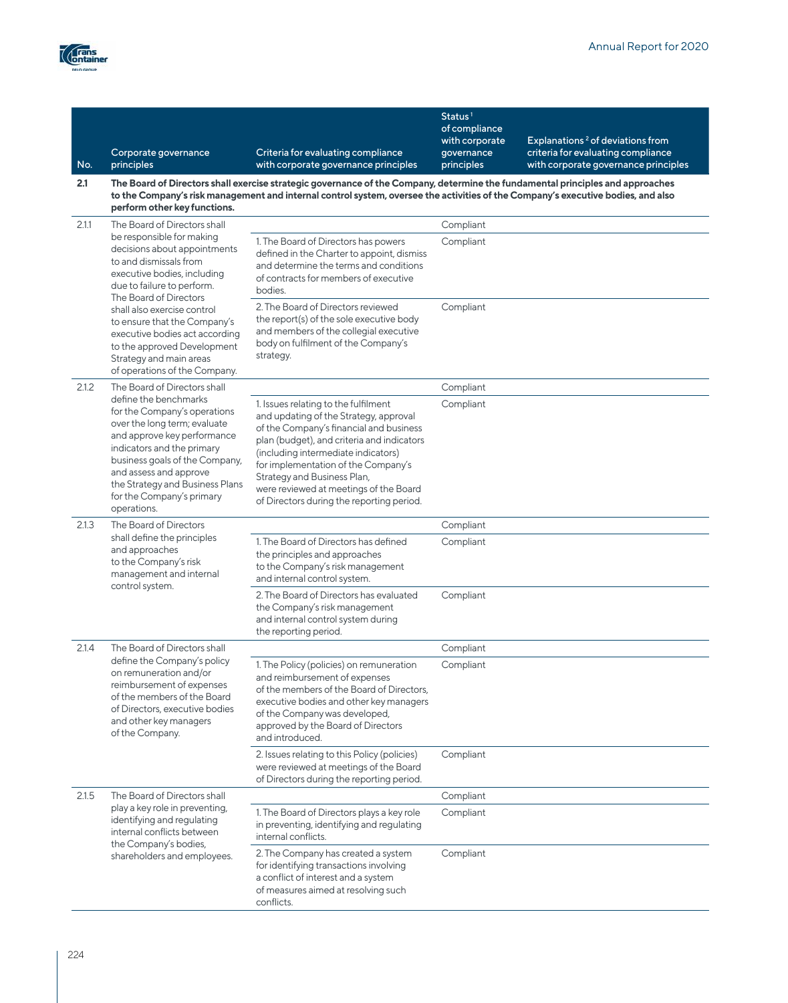

|       |                                                                                                                                                                                                                                                                                                    |                                                                                                                                                                                                                                                                                                                                                                             | Status $1$<br>of compliance                |                                                                                                                            |
|-------|----------------------------------------------------------------------------------------------------------------------------------------------------------------------------------------------------------------------------------------------------------------------------------------------------|-----------------------------------------------------------------------------------------------------------------------------------------------------------------------------------------------------------------------------------------------------------------------------------------------------------------------------------------------------------------------------|--------------------------------------------|----------------------------------------------------------------------------------------------------------------------------|
| No.   | Corporate governance<br>principles                                                                                                                                                                                                                                                                 | Criteria for evaluating compliance<br>with corporate governance principles                                                                                                                                                                                                                                                                                                  | with corporate<br>governance<br>principles | Explanations <sup>2</sup> of deviations from<br>criteria for evaluating compliance<br>with corporate governance principles |
| 2.1   | The Board of Directors shall exercise strategic governance of the Company, determine the fundamental principles and approaches<br>to the Company's risk management and internal control system, oversee the activities of the Company's executive bodies, and also<br>perform other key functions. |                                                                                                                                                                                                                                                                                                                                                                             |                                            |                                                                                                                            |
| 2.1.1 | The Board of Directors shall                                                                                                                                                                                                                                                                       |                                                                                                                                                                                                                                                                                                                                                                             | Compliant                                  |                                                                                                                            |
|       | be responsible for making<br>decisions about appointments<br>to and dismissals from<br>executive bodies, including<br>due to failure to perform.<br>The Board of Directors                                                                                                                         | 1. The Board of Directors has powers<br>defined in the Charter to appoint, dismiss<br>and determine the terms and conditions<br>of contracts for members of executive<br>bodies.                                                                                                                                                                                            | Compliant                                  |                                                                                                                            |
|       | shall also exercise control<br>to ensure that the Company's<br>executive bodies act according<br>to the approved Development<br>Strategy and main areas<br>of operations of the Company.                                                                                                           | 2. The Board of Directors reviewed<br>the report(s) of the sole executive body<br>and members of the collegial executive<br>body on fulfilment of the Company's<br>strategy.                                                                                                                                                                                                | Compliant                                  |                                                                                                                            |
| 2.1.2 | The Board of Directors shall                                                                                                                                                                                                                                                                       |                                                                                                                                                                                                                                                                                                                                                                             | Compliant                                  |                                                                                                                            |
|       | define the benchmarks<br>for the Company's operations<br>over the long term; evaluate<br>and approve key performance<br>indicators and the primary<br>business goals of the Company,<br>and assess and approve<br>the Strategy and Business Plans<br>for the Company's primary<br>operations.      | 1. Issues relating to the fulfilment<br>and updating of the Strategy, approval<br>of the Company's financial and business<br>plan (budget), and criteria and indicators<br>(including intermediate indicators)<br>for implementation of the Company's<br>Strategy and Business Plan,<br>were reviewed at meetings of the Board<br>of Directors during the reporting period. | Compliant                                  |                                                                                                                            |
| 2.1.3 | The Board of Directors                                                                                                                                                                                                                                                                             |                                                                                                                                                                                                                                                                                                                                                                             | Compliant                                  |                                                                                                                            |
|       | shall define the principles<br>and approaches<br>to the Company's risk<br>management and internal<br>control system.                                                                                                                                                                               | 1. The Board of Directors has defined<br>the principles and approaches<br>to the Company's risk management<br>and internal control system.                                                                                                                                                                                                                                  | Compliant                                  |                                                                                                                            |
|       |                                                                                                                                                                                                                                                                                                    | 2. The Board of Directors has evaluated<br>the Company's risk management<br>and internal control system during<br>the reporting period.                                                                                                                                                                                                                                     | Compliant                                  |                                                                                                                            |
| 2.1.4 | The Board of Directors shall                                                                                                                                                                                                                                                                       |                                                                                                                                                                                                                                                                                                                                                                             | Compliant                                  |                                                                                                                            |
|       | define the Company's policy<br>on remuneration and/or<br>reimbursement of expenses<br>of the members of the Board<br>of Directors, executive bodies<br>and other key managers<br>of the Company.                                                                                                   | 1. The Policy (policies) on remuneration<br>and reimbursement of expenses<br>of the members of the Board of Directors,<br>executive bodies and other key managers<br>of the Company was developed,<br>approved by the Board of Directors<br>and introduced.                                                                                                                 | Compliant                                  |                                                                                                                            |
|       |                                                                                                                                                                                                                                                                                                    | 2. Issues relating to this Policy (policies)<br>were reviewed at meetings of the Board<br>of Directors during the reporting period.                                                                                                                                                                                                                                         | Compliant                                  |                                                                                                                            |
| 2.1.5 | The Board of Directors shall                                                                                                                                                                                                                                                                       |                                                                                                                                                                                                                                                                                                                                                                             | Compliant                                  |                                                                                                                            |
|       | play a key role in preventing,<br>identifying and regulating<br>internal conflicts between<br>the Company's bodies,                                                                                                                                                                                | 1. The Board of Directors plays a key role<br>in preventing, identifying and regulating<br>internal conflicts.                                                                                                                                                                                                                                                              | Compliant                                  |                                                                                                                            |
|       | shareholders and employees.                                                                                                                                                                                                                                                                        | 2. The Company has created a system<br>for identifying transactions involving<br>a conflict of interest and a system<br>of measures aimed at resolving such<br>conflicts.                                                                                                                                                                                                   | Compliant                                  |                                                                                                                            |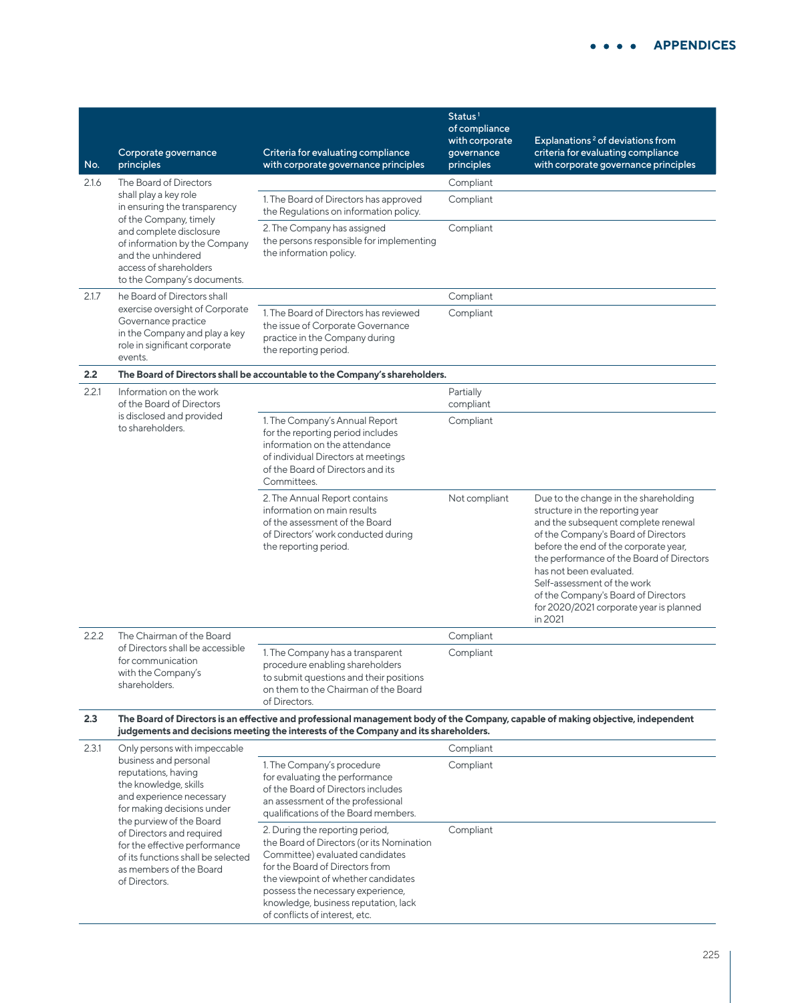| No.   | Corporate governance<br>principles                                                                                                                                                                                                                                                                          | Criteria for evaluating compliance<br>with corporate governance principles                                                                                                                                                                                                                               | Status <sup>1</sup><br>of compliance<br>with corporate<br>governance<br>principles | Explanations <sup>2</sup> of deviations from<br>criteria for evaluating compliance<br>with corporate governance principles                                                                                                                                                                                                                                                                          |
|-------|-------------------------------------------------------------------------------------------------------------------------------------------------------------------------------------------------------------------------------------------------------------------------------------------------------------|----------------------------------------------------------------------------------------------------------------------------------------------------------------------------------------------------------------------------------------------------------------------------------------------------------|------------------------------------------------------------------------------------|-----------------------------------------------------------------------------------------------------------------------------------------------------------------------------------------------------------------------------------------------------------------------------------------------------------------------------------------------------------------------------------------------------|
| 2.1.6 | The Board of Directors                                                                                                                                                                                                                                                                                      |                                                                                                                                                                                                                                                                                                          | Compliant                                                                          |                                                                                                                                                                                                                                                                                                                                                                                                     |
|       | shall play a key role<br>in ensuring the transparency                                                                                                                                                                                                                                                       | 1. The Board of Directors has approved<br>the Regulations on information policy.                                                                                                                                                                                                                         | Compliant                                                                          |                                                                                                                                                                                                                                                                                                                                                                                                     |
|       | of the Company, timely<br>and complete disclosure<br>of information by the Company<br>and the unhindered<br>access of shareholders<br>to the Company's documents.                                                                                                                                           | 2. The Company has assigned<br>the persons responsible for implementing<br>the information policy.                                                                                                                                                                                                       | Compliant                                                                          |                                                                                                                                                                                                                                                                                                                                                                                                     |
| 2.1.7 | he Board of Directors shall                                                                                                                                                                                                                                                                                 |                                                                                                                                                                                                                                                                                                          | Compliant                                                                          |                                                                                                                                                                                                                                                                                                                                                                                                     |
|       | exercise oversight of Corporate<br>Governance practice<br>in the Company and play a key<br>role in significant corporate<br>events.                                                                                                                                                                         | 1. The Board of Directors has reviewed<br>the issue of Corporate Governance<br>practice in the Company during<br>the reporting period.                                                                                                                                                                   | Compliant                                                                          |                                                                                                                                                                                                                                                                                                                                                                                                     |
| 2.2   |                                                                                                                                                                                                                                                                                                             | The Board of Directors shall be accountable to the Company's shareholders.                                                                                                                                                                                                                               |                                                                                    |                                                                                                                                                                                                                                                                                                                                                                                                     |
| 2.2.1 | Information on the work<br>of the Board of Directors                                                                                                                                                                                                                                                        |                                                                                                                                                                                                                                                                                                          | Partially<br>compliant                                                             |                                                                                                                                                                                                                                                                                                                                                                                                     |
|       | is disclosed and provided<br>to shareholders.                                                                                                                                                                                                                                                               | 1. The Company's Annual Report<br>for the reporting period includes<br>information on the attendance<br>of individual Directors at meetings<br>of the Board of Directors and its<br>Committees.                                                                                                          | Compliant                                                                          |                                                                                                                                                                                                                                                                                                                                                                                                     |
|       |                                                                                                                                                                                                                                                                                                             | 2. The Annual Report contains<br>information on main results<br>of the assessment of the Board<br>of Directors' work conducted during<br>the reporting period.                                                                                                                                           | Not compliant                                                                      | Due to the change in the shareholding<br>structure in the reporting year<br>and the subsequent complete renewal<br>of the Company's Board of Directors<br>before the end of the corporate year,<br>the performance of the Board of Directors<br>has not been evaluated.<br>Self-assessment of the work<br>of the Company's Board of Directors<br>for 2020/2021 corporate year is planned<br>in 2021 |
| 2.2.2 | The Chairman of the Board                                                                                                                                                                                                                                                                                   |                                                                                                                                                                                                                                                                                                          | Compliant                                                                          |                                                                                                                                                                                                                                                                                                                                                                                                     |
|       | of Directors shall be accessible<br>for communication<br>with the Company's<br>shareholders.                                                                                                                                                                                                                | 1. The Company has a transparent<br>procedure enabling shareholders<br>to submit questions and their positions<br>on them to the Chairman of the Board<br>of Directors.                                                                                                                                  | Compliant                                                                          |                                                                                                                                                                                                                                                                                                                                                                                                     |
| 2.3   |                                                                                                                                                                                                                                                                                                             | The Board of Directors is an effective and professional management body of the Company, capable of making objective, independent<br>judgements and decisions meeting the interests of the Company and its shareholders.                                                                                  |                                                                                    |                                                                                                                                                                                                                                                                                                                                                                                                     |
| 2.3.1 | Only persons with impeccable                                                                                                                                                                                                                                                                                |                                                                                                                                                                                                                                                                                                          | Compliant                                                                          |                                                                                                                                                                                                                                                                                                                                                                                                     |
|       | business and personal<br>reputations, having<br>the knowledge, skills<br>and experience necessary<br>for making decisions under<br>the purview of the Board<br>of Directors and required<br>for the effective performance<br>of its functions shall be selected<br>as members of the Board<br>of Directors. | 1. The Company's procedure<br>for evaluating the performance<br>of the Board of Directors includes<br>an assessment of the professional<br>qualifications of the Board members.                                                                                                                          | Compliant                                                                          |                                                                                                                                                                                                                                                                                                                                                                                                     |
|       |                                                                                                                                                                                                                                                                                                             | 2. During the reporting period,<br>the Board of Directors (or its Nomination<br>Committee) evaluated candidates<br>for the Board of Directors from<br>the viewpoint of whether candidates<br>possess the necessary experience,<br>knowledge, business reputation, lack<br>of conflicts of interest, etc. | Compliant                                                                          |                                                                                                                                                                                                                                                                                                                                                                                                     |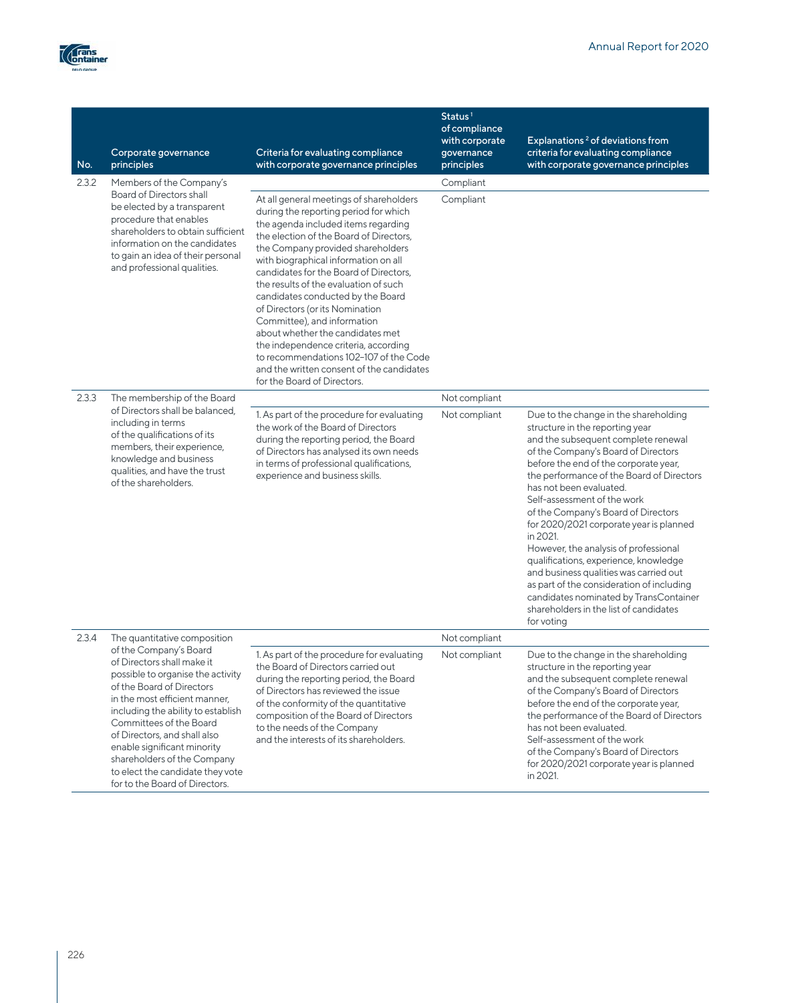

| No.   | Corporate governance<br>principles                                                                                                                                                                                                                                                                                                                                                                                           | Criteria for evaluating compliance<br>with corporate governance principles                                                                                                                                                                                                                                                                                                                                                                                                                                                                                                                                                                  | Status $1$<br>of compliance<br>with corporate<br>governance<br>principles | Explanations <sup>2</sup> of deviations from<br>criteria for evaluating compliance<br>with corporate governance principles                                                                                                                                                                                                                                                                                                                                                                                                                                                                                                                                                      |
|-------|------------------------------------------------------------------------------------------------------------------------------------------------------------------------------------------------------------------------------------------------------------------------------------------------------------------------------------------------------------------------------------------------------------------------------|---------------------------------------------------------------------------------------------------------------------------------------------------------------------------------------------------------------------------------------------------------------------------------------------------------------------------------------------------------------------------------------------------------------------------------------------------------------------------------------------------------------------------------------------------------------------------------------------------------------------------------------------|---------------------------------------------------------------------------|---------------------------------------------------------------------------------------------------------------------------------------------------------------------------------------------------------------------------------------------------------------------------------------------------------------------------------------------------------------------------------------------------------------------------------------------------------------------------------------------------------------------------------------------------------------------------------------------------------------------------------------------------------------------------------|
| 2.3.2 | Members of the Company's<br><b>Board of Directors shall</b><br>be elected by a transparent<br>procedure that enables<br>shareholders to obtain sufficient<br>information on the candidates<br>to gain an idea of their personal<br>and professional qualities.                                                                                                                                                               | At all general meetings of shareholders<br>during the reporting period for which<br>the agenda included items regarding<br>the election of the Board of Directors,<br>the Company provided shareholders<br>with biographical information on all<br>candidates for the Board of Directors.<br>the results of the evaluation of such<br>candidates conducted by the Board<br>of Directors (or its Nomination<br>Committee), and information<br>about whether the candidates met<br>the independence criteria, according<br>to recommendations 102-107 of the Code<br>and the written consent of the candidates<br>for the Board of Directors. | Compliant<br>Compliant                                                    |                                                                                                                                                                                                                                                                                                                                                                                                                                                                                                                                                                                                                                                                                 |
| 2.3.3 | The membership of the Board<br>of Directors shall be balanced.<br>including in terms<br>of the qualifications of its<br>members, their experience,<br>knowledge and business<br>qualities, and have the trust<br>of the shareholders.                                                                                                                                                                                        | 1. As part of the procedure for evaluating<br>the work of the Board of Directors<br>during the reporting period, the Board<br>of Directors has analysed its own needs<br>in terms of professional qualifications,<br>experience and business skills.                                                                                                                                                                                                                                                                                                                                                                                        | Not compliant<br>Not compliant                                            | Due to the change in the shareholding<br>structure in the reporting year<br>and the subsequent complete renewal<br>of the Company's Board of Directors<br>before the end of the corporate year,<br>the performance of the Board of Directors<br>has not been evaluated.<br>Self-assessment of the work<br>of the Company's Board of Directors<br>for 2020/2021 corporate year is planned<br>in 2021.<br>However, the analysis of professional<br>qualifications, experience, knowledge<br>and business qualities was carried out<br>as part of the consideration of including<br>candidates nominated by TransContainer<br>shareholders in the list of candidates<br>for voting |
| 2.3.4 | The quantitative composition<br>of the Company's Board<br>of Directors shall make it<br>possible to organise the activity<br>of the Board of Directors<br>in the most efficient manner,<br>including the ability to establish<br>Committees of the Board<br>of Directors, and shall also<br>enable significant minority<br>shareholders of the Company<br>to elect the candidate they vote<br>for to the Board of Directors. | 1. As part of the procedure for evaluating<br>the Board of Directors carried out<br>during the reporting period, the Board<br>of Directors has reviewed the issue<br>of the conformity of the quantitative<br>composition of the Board of Directors<br>to the needs of the Company<br>and the interests of its shareholders.                                                                                                                                                                                                                                                                                                                | Not compliant<br>Not compliant                                            | Due to the change in the shareholding<br>structure in the reporting year<br>and the subsequent complete renewal<br>of the Company's Board of Directors<br>before the end of the corporate year,<br>the performance of the Board of Directors<br>has not been evaluated.<br>Self-assessment of the work<br>of the Company's Board of Directors<br>for 2020/2021 corporate year is planned<br>in 2021.                                                                                                                                                                                                                                                                            |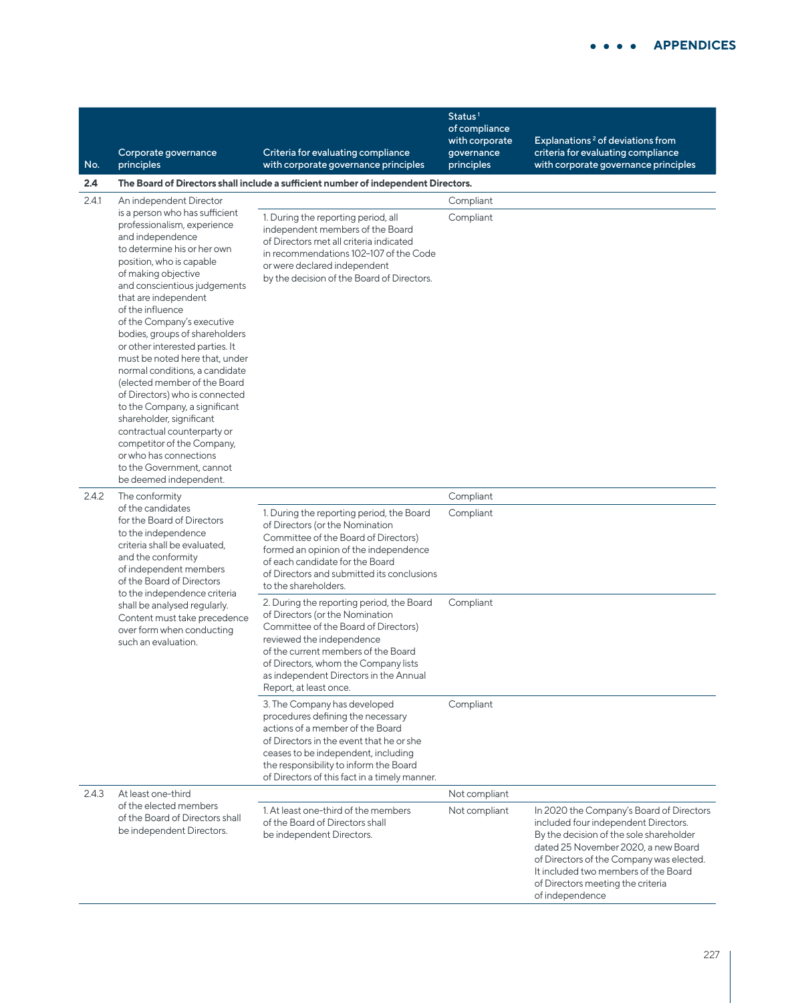| No.   | Corporate governance<br>principles                                                                                                                                                                                                                                                                                                                                                                                                                                                                                                                                                                                                                                | Criteria for evaluating compliance<br>with corporate governance principles                                                                                                                                                                                                                           | Status <sup>1</sup><br>of compliance<br>with corporate<br>governance<br>principles | Explanations <sup>2</sup> of deviations from<br>criteria for evaluating compliance<br>with corporate governance principles                                                                                                                                                                                     |
|-------|-------------------------------------------------------------------------------------------------------------------------------------------------------------------------------------------------------------------------------------------------------------------------------------------------------------------------------------------------------------------------------------------------------------------------------------------------------------------------------------------------------------------------------------------------------------------------------------------------------------------------------------------------------------------|------------------------------------------------------------------------------------------------------------------------------------------------------------------------------------------------------------------------------------------------------------------------------------------------------|------------------------------------------------------------------------------------|----------------------------------------------------------------------------------------------------------------------------------------------------------------------------------------------------------------------------------------------------------------------------------------------------------------|
| 2.4   |                                                                                                                                                                                                                                                                                                                                                                                                                                                                                                                                                                                                                                                                   | The Board of Directors shall include a sufficient number of independent Directors.                                                                                                                                                                                                                   |                                                                                    |                                                                                                                                                                                                                                                                                                                |
| 2.4.1 | An independent Director<br>is a person who has sufficient                                                                                                                                                                                                                                                                                                                                                                                                                                                                                                                                                                                                         |                                                                                                                                                                                                                                                                                                      | Compliant                                                                          |                                                                                                                                                                                                                                                                                                                |
|       | professionalism, experience<br>and independence<br>to determine his or her own<br>position, who is capable<br>of making objective<br>and conscientious judgements<br>that are independent<br>of the influence<br>of the Company's executive<br>bodies, groups of shareholders<br>or other interested parties. It<br>must be noted here that, under<br>normal conditions, a candidate<br>(elected member of the Board<br>of Directors) who is connected<br>to the Company, a significant<br>shareholder, significant<br>contractual counterparty or<br>competitor of the Company,<br>or who has connections<br>to the Government, cannot<br>be deemed independent. | 1. During the reporting period, all<br>independent members of the Board<br>of Directors met all criteria indicated<br>in recommendations 102-107 of the Code<br>or were declared independent<br>by the decision of the Board of Directors.                                                           | Compliant                                                                          |                                                                                                                                                                                                                                                                                                                |
| 2.4.2 | The conformity                                                                                                                                                                                                                                                                                                                                                                                                                                                                                                                                                                                                                                                    |                                                                                                                                                                                                                                                                                                      | Compliant                                                                          |                                                                                                                                                                                                                                                                                                                |
|       | of the candidates<br>for the Board of Directors<br>to the independence<br>criteria shall be evaluated,<br>and the conformity<br>of independent members<br>of the Board of Directors<br>to the independence criteria<br>shall be analysed regularly.<br>Content must take precedence<br>over form when conducting<br>such an evaluation.                                                                                                                                                                                                                                                                                                                           | 1. During the reporting period, the Board<br>of Directors (or the Nomination<br>Committee of the Board of Directors)<br>formed an opinion of the independence<br>of each candidate for the Board<br>of Directors and submitted its conclusions<br>to the shareholders.                               | Compliant                                                                          |                                                                                                                                                                                                                                                                                                                |
|       |                                                                                                                                                                                                                                                                                                                                                                                                                                                                                                                                                                                                                                                                   | 2. During the reporting period, the Board<br>of Directors (or the Nomination<br>Committee of the Board of Directors)<br>reviewed the independence<br>of the current members of the Board<br>of Directors, whom the Company lists<br>as independent Directors in the Annual<br>Report, at least once. | Compliant                                                                          |                                                                                                                                                                                                                                                                                                                |
|       |                                                                                                                                                                                                                                                                                                                                                                                                                                                                                                                                                                                                                                                                   | 3. The Company has developed<br>procedures defining the necessary<br>actions of a member of the Board<br>of Directors in the event that he or she<br>ceases to be independent, including<br>the responsibility to inform the Board<br>of Directors of this fact in a timely manner.                  | Compliant                                                                          |                                                                                                                                                                                                                                                                                                                |
| 2.4.3 | At least one-third                                                                                                                                                                                                                                                                                                                                                                                                                                                                                                                                                                                                                                                |                                                                                                                                                                                                                                                                                                      | Not compliant                                                                      |                                                                                                                                                                                                                                                                                                                |
|       | of the elected members<br>of the Board of Directors shall<br>be independent Directors.                                                                                                                                                                                                                                                                                                                                                                                                                                                                                                                                                                            | 1. At least one-third of the members<br>of the Board of Directors shall<br>be independent Directors.                                                                                                                                                                                                 | Not compliant                                                                      | In 2020 the Company's Board of Directors<br>included four independent Directors.<br>By the decision of the sole shareholder<br>dated 25 November 2020, a new Board<br>of Directors of the Company was elected.<br>It included two members of the Board<br>of Directors meeting the criteria<br>of independence |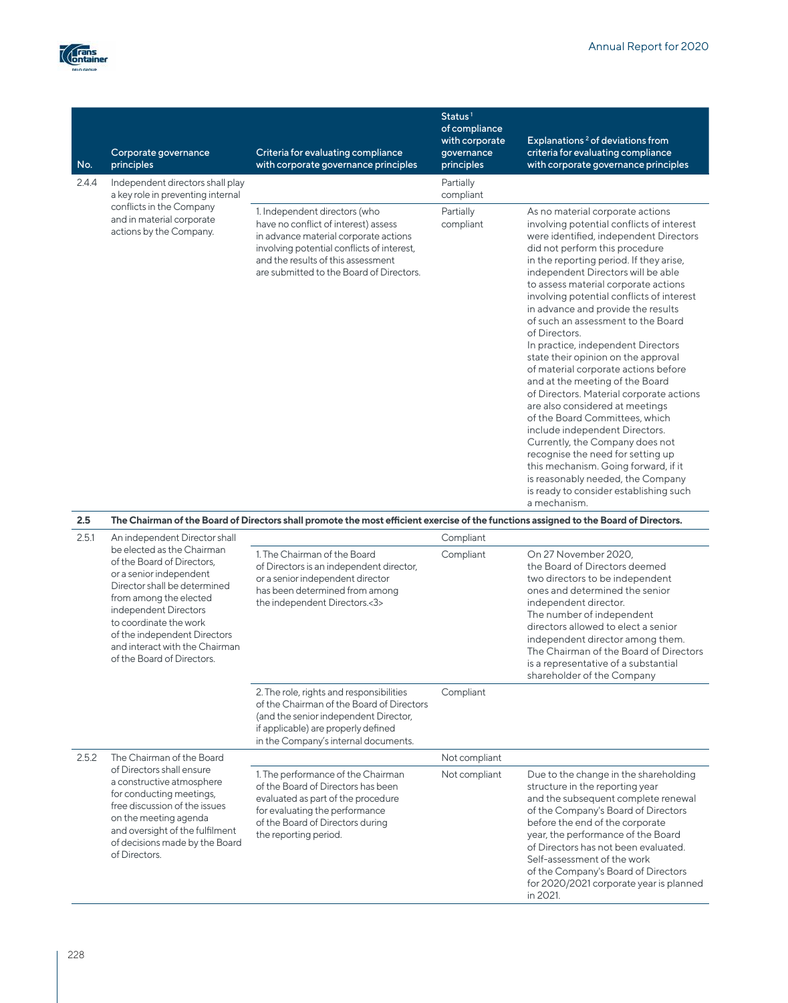

| No.          | Corporate governance<br>principles                                               | Criteria for evaluating compliance<br>with corporate governance principles                                                                                                                                                                     | Status <sup>1</sup><br>of compliance<br>with corporate<br>governance<br>principles | Explanations <sup>2</sup> of deviations from<br>criteria for evaluating compliance<br>with corporate governance principles                                                                                                                                                                                                                                                                                                                                                                                                                                                                                                                                                                                                                                                                                                                                                                                                                             |
|--------------|----------------------------------------------------------------------------------|------------------------------------------------------------------------------------------------------------------------------------------------------------------------------------------------------------------------------------------------|------------------------------------------------------------------------------------|--------------------------------------------------------------------------------------------------------------------------------------------------------------------------------------------------------------------------------------------------------------------------------------------------------------------------------------------------------------------------------------------------------------------------------------------------------------------------------------------------------------------------------------------------------------------------------------------------------------------------------------------------------------------------------------------------------------------------------------------------------------------------------------------------------------------------------------------------------------------------------------------------------------------------------------------------------|
| 2.4.4        | Independent directors shall play<br>a key role in preventing internal            |                                                                                                                                                                                                                                                | Partially<br>compliant                                                             |                                                                                                                                                                                                                                                                                                                                                                                                                                                                                                                                                                                                                                                                                                                                                                                                                                                                                                                                                        |
|              | conflicts in the Company<br>and in material corporate<br>actions by the Company. | 1. Independent directors (who<br>have no conflict of interest) assess<br>in advance material corporate actions<br>involving potential conflicts of interest,<br>and the results of this assessment<br>are submitted to the Board of Directors. | Partially<br>compliant                                                             | As no material corporate actions<br>involving potential conflicts of interest<br>were identified, independent Directors<br>did not perform this procedure<br>in the reporting period. If they arise,<br>independent Directors will be able<br>to assess material corporate actions<br>involving potential conflicts of interest<br>in advance and provide the results<br>of such an assessment to the Board<br>of Directors.<br>In practice, independent Directors<br>state their opinion on the approval<br>of material corporate actions before<br>and at the meeting of the Board<br>of Directors. Material corporate actions<br>are also considered at meetings<br>of the Board Committees, which<br>include independent Directors.<br>Currently, the Company does not<br>recognise the need for setting up<br>this mechanism. Going forward, if it<br>is reasonably needed, the Company<br>is ready to consider establishing such<br>a mechanism. |
| 2.5<br>2.5.1 | An independent Director shall                                                    | The Chairman of the Board of Directors shall promote the most efficient exercise of the functions assigned to the Board of Directors.                                                                                                          | Compliant                                                                          |                                                                                                                                                                                                                                                                                                                                                                                                                                                                                                                                                                                                                                                                                                                                                                                                                                                                                                                                                        |
|              | be elected as the Chairman                                                       | 1. The Chairman of the Board                                                                                                                                                                                                                   | Compliant                                                                          | On 27 November 2020.                                                                                                                                                                                                                                                                                                                                                                                                                                                                                                                                                                                                                                                                                                                                                                                                                                                                                                                                   |
|              | a fit le la Dispuell a fill (1940) a baixa e                                     |                                                                                                                                                                                                                                                |                                                                                    |                                                                                                                                                                                                                                                                                                                                                                                                                                                                                                                                                                                                                                                                                                                                                                                                                                                                                                                                                        |

|       | be elected as the Chairman<br>of the Board of Directors,<br>or a senior independent<br>Director shall be determined<br>from among the elected<br>independent Directors<br>to coordinate the work<br>of the independent Directors<br>and interact with the Chairman<br>of the Board of Directors. | 1. The Chairman of the Board<br>of Directors is an independent director,<br>or a senior independent director<br>has been determined from among<br>the independent Directors.<3>                               | Compliant     | On 27 November 2020.<br>the Board of Directors deemed<br>two directors to be independent<br>ones and determined the senior<br>independent director.<br>The number of independent<br>directors allowed to elect a senior<br>independent director among them.<br>The Chairman of the Board of Directors<br>is a representative of a substantial<br>shareholder of the Company                          |
|-------|--------------------------------------------------------------------------------------------------------------------------------------------------------------------------------------------------------------------------------------------------------------------------------------------------|---------------------------------------------------------------------------------------------------------------------------------------------------------------------------------------------------------------|---------------|------------------------------------------------------------------------------------------------------------------------------------------------------------------------------------------------------------------------------------------------------------------------------------------------------------------------------------------------------------------------------------------------------|
|       |                                                                                                                                                                                                                                                                                                  | 2. The role, rights and responsibilities<br>of the Chairman of the Board of Directors<br>(and the senior independent Director,<br>if applicable) are properly defined<br>in the Company's internal documents. | Compliant     |                                                                                                                                                                                                                                                                                                                                                                                                      |
| 2.5.2 | The Chairman of the Board                                                                                                                                                                                                                                                                        |                                                                                                                                                                                                               | Not compliant |                                                                                                                                                                                                                                                                                                                                                                                                      |
|       | of Directors shall ensure<br>a constructive atmosphere<br>for conducting meetings,<br>free discussion of the issues<br>on the meeting agenda<br>and oversight of the fulfilment<br>of decisions made by the Board<br>of Directors.                                                               | 1. The performance of the Chairman<br>of the Board of Directors has been<br>evaluated as part of the procedure<br>for evaluating the performance<br>of the Board of Directors during<br>the reporting period. | Not compliant | Due to the change in the shareholding<br>structure in the reporting year<br>and the subsequent complete renewal<br>of the Company's Board of Directors<br>before the end of the corporate<br>year, the performance of the Board<br>of Directors has not been evaluated.<br>Self-assessment of the work<br>of the Company's Board of Directors<br>for 2020/2021 corporate year is planned<br>in 2021. |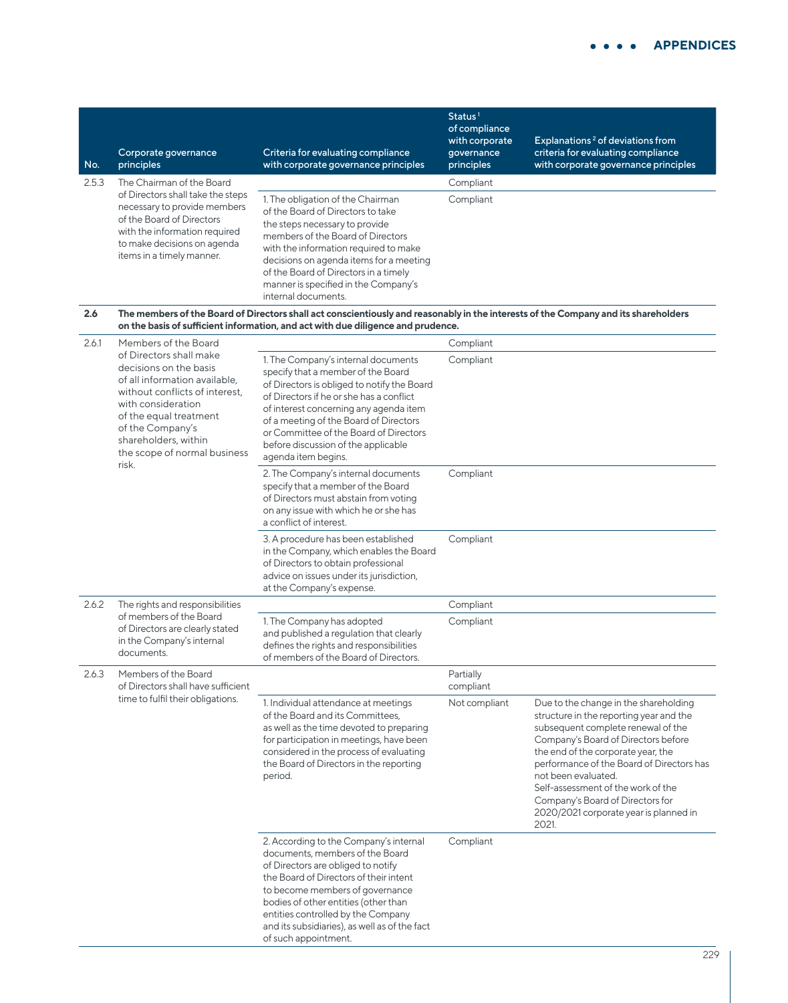| No.   | Corporate governance<br>principles                                                                                                                                                                                                                        | Criteria for evaluating compliance<br>with corporate governance principles                                                                                                                                                                                                                                                                                       | Status <sup>1</sup><br>of compliance<br>with corporate<br>governance<br>principles | Explanations <sup>2</sup> of deviations from<br>criteria for evaluating compliance<br>with corporate governance principles                                                                                                                                                                                                                                                                           |
|-------|-----------------------------------------------------------------------------------------------------------------------------------------------------------------------------------------------------------------------------------------------------------|------------------------------------------------------------------------------------------------------------------------------------------------------------------------------------------------------------------------------------------------------------------------------------------------------------------------------------------------------------------|------------------------------------------------------------------------------------|------------------------------------------------------------------------------------------------------------------------------------------------------------------------------------------------------------------------------------------------------------------------------------------------------------------------------------------------------------------------------------------------------|
| 2.5.3 | The Chairman of the Board                                                                                                                                                                                                                                 |                                                                                                                                                                                                                                                                                                                                                                  | Compliant                                                                          |                                                                                                                                                                                                                                                                                                                                                                                                      |
|       | of Directors shall take the steps<br>necessary to provide members<br>of the Board of Directors<br>with the information required<br>to make decisions on agenda<br>items in a timely manner.                                                               | 1. The obligation of the Chairman<br>of the Board of Directors to take<br>the steps necessary to provide<br>members of the Board of Directors<br>with the information required to make<br>decisions on agenda items for a meeting<br>of the Board of Directors in a timely<br>manner is specified in the Company's<br>internal documents.                        | Compliant                                                                          |                                                                                                                                                                                                                                                                                                                                                                                                      |
| 2.6   |                                                                                                                                                                                                                                                           | The members of the Board of Directors shall act conscientiously and reasonably in the interests of the Company and its shareholders<br>on the basis of sufficient information, and act with due diligence and prudence.                                                                                                                                          |                                                                                    |                                                                                                                                                                                                                                                                                                                                                                                                      |
| 2.6.1 | Members of the Board                                                                                                                                                                                                                                      |                                                                                                                                                                                                                                                                                                                                                                  | Compliant                                                                          |                                                                                                                                                                                                                                                                                                                                                                                                      |
|       | of Directors shall make<br>decisions on the basis<br>of all information available,<br>without conflicts of interest,<br>with consideration<br>of the equal treatment<br>of the Company's<br>shareholders, within<br>the scope of normal business<br>risk. | 1. The Company's internal documents<br>specify that a member of the Board<br>of Directors is obliged to notify the Board<br>of Directors if he or she has a conflict<br>of interest concerning any agenda item<br>of a meeting of the Board of Directors<br>or Committee of the Board of Directors<br>before discussion of the applicable<br>agenda item begins. | Compliant                                                                          |                                                                                                                                                                                                                                                                                                                                                                                                      |
|       |                                                                                                                                                                                                                                                           | 2. The Company's internal documents<br>specify that a member of the Board<br>of Directors must abstain from voting<br>on any issue with which he or she has<br>a conflict of interest.                                                                                                                                                                           | Compliant                                                                          |                                                                                                                                                                                                                                                                                                                                                                                                      |
|       |                                                                                                                                                                                                                                                           | 3. A procedure has been established<br>in the Company, which enables the Board<br>of Directors to obtain professional<br>advice on issues under its jurisdiction,<br>at the Company's expense.                                                                                                                                                                   | Compliant                                                                          |                                                                                                                                                                                                                                                                                                                                                                                                      |
| 2.6.2 | The rights and responsibilities                                                                                                                                                                                                                           |                                                                                                                                                                                                                                                                                                                                                                  | Compliant                                                                          |                                                                                                                                                                                                                                                                                                                                                                                                      |
|       | of members of the Board<br>of Directors are clearly stated<br>in the Company's internal<br>documents.                                                                                                                                                     | 1. The Company has adopted<br>and published a regulation that clearly<br>defines the rights and responsibilities<br>of members of the Board of Directors.                                                                                                                                                                                                        | Compliant                                                                          |                                                                                                                                                                                                                                                                                                                                                                                                      |
| 2.6.3 | Members of the Board<br>of Directors shall have sufficient                                                                                                                                                                                                |                                                                                                                                                                                                                                                                                                                                                                  | Partially<br>compliant                                                             |                                                                                                                                                                                                                                                                                                                                                                                                      |
|       | time to fulfil their obligations.                                                                                                                                                                                                                         | 1. Individual attendance at meetings<br>of the Board and its Committees,<br>as well as the time devoted to preparing<br>for participation in meetings, have been<br>considered in the process of evaluating<br>the Board of Directors in the reporting<br>period.                                                                                                | Not compliant                                                                      | Due to the change in the shareholding<br>structure in the reporting year and the<br>subsequent complete renewal of the<br>Company's Board of Directors before<br>the end of the corporate year, the<br>performance of the Board of Directors has<br>not been evaluated.<br>Self-assessment of the work of the<br>Company's Board of Directors for<br>2020/2021 corporate year is planned in<br>2021. |
|       |                                                                                                                                                                                                                                                           | 2. According to the Company's internal<br>documents, members of the Board<br>of Directors are obliged to notify<br>the Board of Directors of their intent<br>to become members of governance<br>bodies of other entities (other than<br>entities controlled by the Company<br>and its subsidiaries), as well as of the fact<br>of such appointment.              | Compliant                                                                          |                                                                                                                                                                                                                                                                                                                                                                                                      |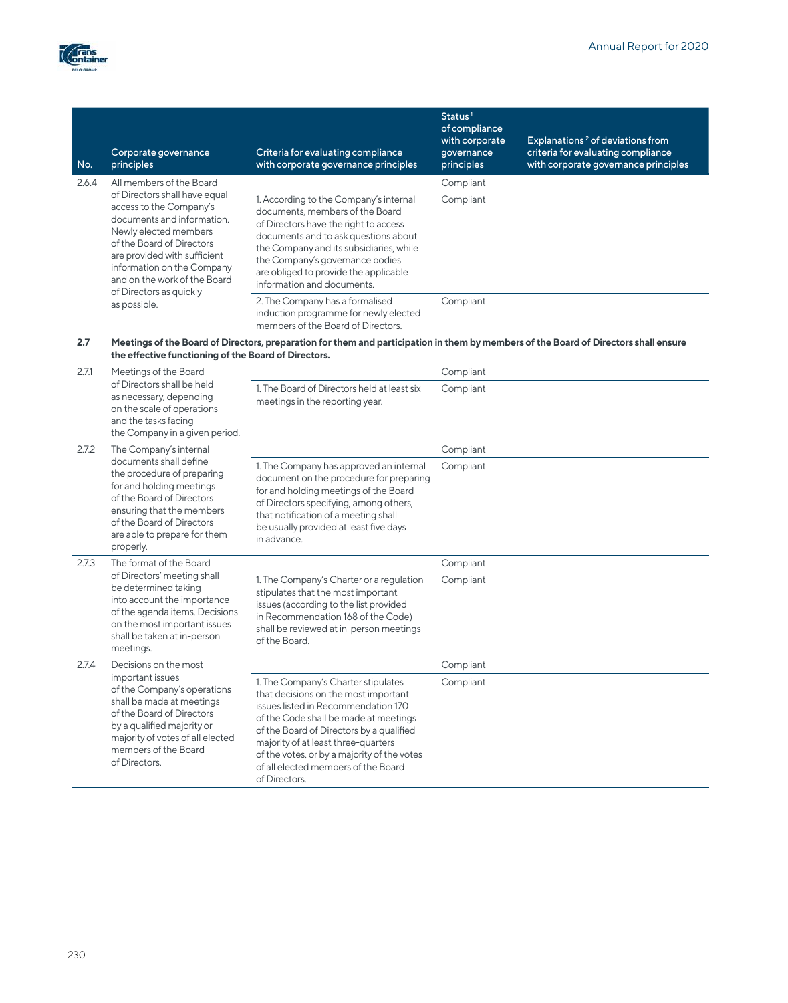

| No.   | Corporate governance<br>principles                                                                                                                                                                                                                                    | Criteria for evaluating compliance<br>with corporate governance principles                                                                                                                                                                                                                                                                            | Status <sup>1</sup><br>of compliance<br>with corporate<br>governance<br>principles | Explanations <sup>2</sup> of deviations from<br>criteria for evaluating compliance<br>with corporate governance principles |
|-------|-----------------------------------------------------------------------------------------------------------------------------------------------------------------------------------------------------------------------------------------------------------------------|-------------------------------------------------------------------------------------------------------------------------------------------------------------------------------------------------------------------------------------------------------------------------------------------------------------------------------------------------------|------------------------------------------------------------------------------------|----------------------------------------------------------------------------------------------------------------------------|
| 2.6.4 | All members of the Board                                                                                                                                                                                                                                              |                                                                                                                                                                                                                                                                                                                                                       | Compliant                                                                          |                                                                                                                            |
|       | of Directors shall have equal<br>access to the Company's<br>documents and information.<br>Newly elected members<br>of the Board of Directors<br>are provided with sufficient<br>information on the Company<br>and on the work of the Board<br>of Directors as quickly | 1. According to the Company's internal<br>documents, members of the Board<br>of Directors have the right to access<br>documents and to ask questions about<br>the Company and its subsidiaries, while<br>the Company's governance bodies<br>are obliged to provide the applicable<br>information and documents.                                       | Compliant                                                                          |                                                                                                                            |
|       | as possible.                                                                                                                                                                                                                                                          | 2. The Company has a formalised<br>induction programme for newly elected<br>members of the Board of Directors.                                                                                                                                                                                                                                        | Compliant                                                                          |                                                                                                                            |
| 2.7   | the effective functioning of the Board of Directors.                                                                                                                                                                                                                  | Meetings of the Board of Directors, preparation for them and participation in them by members of the Board of Directors shall ensure                                                                                                                                                                                                                  |                                                                                    |                                                                                                                            |
| 2.71  | Meetings of the Board                                                                                                                                                                                                                                                 |                                                                                                                                                                                                                                                                                                                                                       | Compliant                                                                          |                                                                                                                            |
|       | of Directors shall be held<br>as necessary, depending<br>on the scale of operations<br>and the tasks facing<br>the Company in a given period.                                                                                                                         | 1. The Board of Directors held at least six<br>meetings in the reporting year.                                                                                                                                                                                                                                                                        | Compliant                                                                          |                                                                                                                            |
| 2.7.2 | The Company's internal                                                                                                                                                                                                                                                |                                                                                                                                                                                                                                                                                                                                                       | Compliant                                                                          |                                                                                                                            |
|       | documents shall define<br>the procedure of preparing<br>for and holding meetings<br>of the Board of Directors<br>ensuring that the members<br>of the Board of Directors<br>are able to prepare for them<br>properly.                                                  | 1. The Company has approved an internal<br>document on the procedure for preparing<br>for and holding meetings of the Board<br>of Directors specifying, among others,<br>that notification of a meeting shall<br>be usually provided at least five days<br>in advance.                                                                                | Compliant                                                                          |                                                                                                                            |
| 2.7.3 | The format of the Board                                                                                                                                                                                                                                               |                                                                                                                                                                                                                                                                                                                                                       | Compliant                                                                          |                                                                                                                            |
|       | of Directors' meeting shall<br>be determined taking<br>into account the importance<br>of the agenda items. Decisions<br>on the most important issues<br>shall be taken at in-person<br>meetings.                                                                      | 1. The Company's Charter or a regulation<br>stipulates that the most important<br>issues (according to the list provided<br>in Recommendation 168 of the Code)<br>shall be reviewed at in-person meetings<br>of the Board.                                                                                                                            | Compliant                                                                          |                                                                                                                            |
| 2.7.4 | Decisions on the most                                                                                                                                                                                                                                                 |                                                                                                                                                                                                                                                                                                                                                       | Compliant                                                                          |                                                                                                                            |
|       | important issues<br>of the Company's operations<br>shall be made at meetings<br>of the Board of Directors<br>by a qualified majority or<br>majority of votes of all elected<br>members of the Board<br>of Directors.                                                  | 1. The Company's Charter stipulates<br>that decisions on the most important<br>issues listed in Recommendation 170<br>of the Code shall be made at meetings<br>of the Board of Directors by a qualified<br>majority of at least three-quarters<br>of the votes, or by a majority of the votes<br>of all elected members of the Board<br>of Directors. | Compliant                                                                          |                                                                                                                            |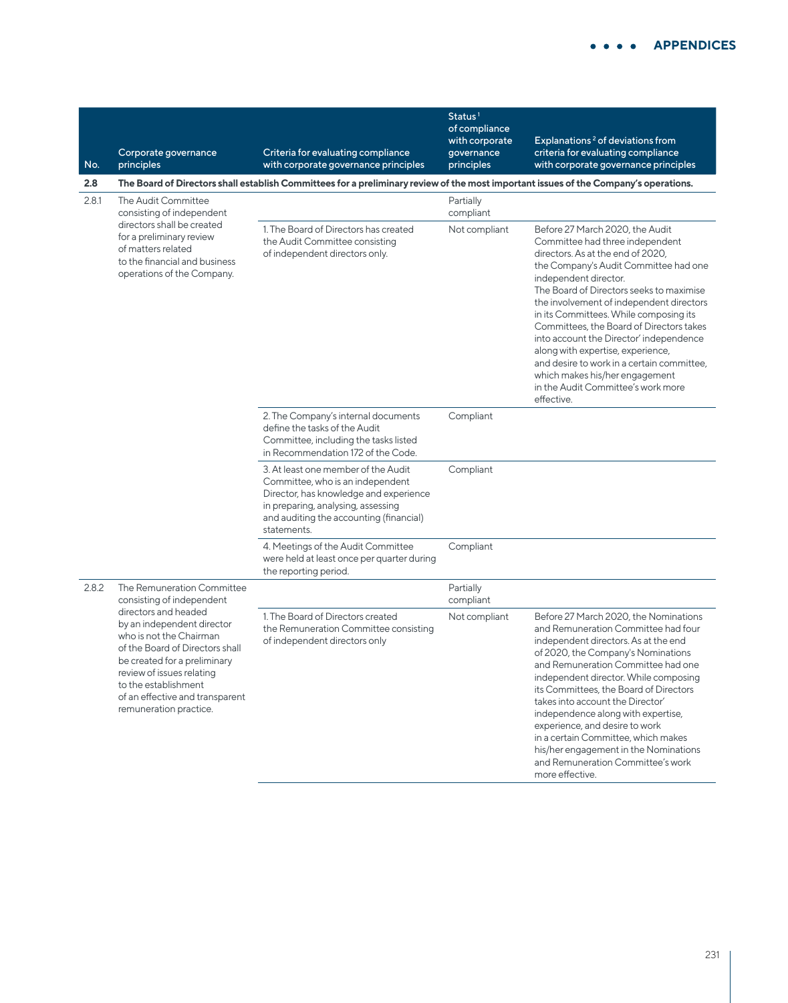| No.   | Corporate governance<br>principles                                                                                                                                                                                                                                 | Criteria for evaluating compliance<br>with corporate governance principles                                                                                                                                        | Status <sup>1</sup><br>of compliance<br>with corporate<br>governance<br>principles | Explanations <sup>2</sup> of deviations from<br>criteria for evaluating compliance<br>with corporate governance principles                                                                                                                                                                                                                                                                                                                                                                                                                                                  |
|-------|--------------------------------------------------------------------------------------------------------------------------------------------------------------------------------------------------------------------------------------------------------------------|-------------------------------------------------------------------------------------------------------------------------------------------------------------------------------------------------------------------|------------------------------------------------------------------------------------|-----------------------------------------------------------------------------------------------------------------------------------------------------------------------------------------------------------------------------------------------------------------------------------------------------------------------------------------------------------------------------------------------------------------------------------------------------------------------------------------------------------------------------------------------------------------------------|
| 2.8   |                                                                                                                                                                                                                                                                    | The Board of Directors shall establish Committees for a preliminary review of the most important issues of the Company's operations.                                                                              |                                                                                    |                                                                                                                                                                                                                                                                                                                                                                                                                                                                                                                                                                             |
| 2.8.1 | The Audit Committee<br>consisting of independent<br>directors shall be created                                                                                                                                                                                     |                                                                                                                                                                                                                   | Partially<br>compliant                                                             |                                                                                                                                                                                                                                                                                                                                                                                                                                                                                                                                                                             |
|       | for a preliminary review<br>of matters related<br>to the financial and business<br>operations of the Company.                                                                                                                                                      | 1. The Board of Directors has created<br>the Audit Committee consisting<br>of independent directors only.                                                                                                         | Not compliant                                                                      | Before 27 March 2020, the Audit<br>Committee had three independent<br>directors. As at the end of 2020,<br>the Company's Audit Committee had one<br>independent director.<br>The Board of Directors seeks to maximise<br>the involvement of independent directors<br>in its Committees. While composing its<br>Committees, the Board of Directors takes<br>into account the Director' independence<br>along with expertise, experience,<br>and desire to work in a certain committee,<br>which makes his/her engagement<br>in the Audit Committee's work more<br>effective. |
|       |                                                                                                                                                                                                                                                                    | 2. The Company's internal documents<br>define the tasks of the Audit<br>Committee, including the tasks listed<br>in Recommendation 172 of the Code.                                                               | Compliant                                                                          |                                                                                                                                                                                                                                                                                                                                                                                                                                                                                                                                                                             |
|       |                                                                                                                                                                                                                                                                    | 3. At least one member of the Audit<br>Committee, who is an independent<br>Director, has knowledge and experience<br>in preparing, analysing, assessing<br>and auditing the accounting (financial)<br>statements. | Compliant                                                                          |                                                                                                                                                                                                                                                                                                                                                                                                                                                                                                                                                                             |
|       |                                                                                                                                                                                                                                                                    | 4. Meetings of the Audit Committee<br>were held at least once per quarter during<br>the reporting period.                                                                                                         | Compliant                                                                          |                                                                                                                                                                                                                                                                                                                                                                                                                                                                                                                                                                             |
| 2.8.2 | The Remuneration Committee<br>consisting of independent                                                                                                                                                                                                            |                                                                                                                                                                                                                   | Partially<br>compliant                                                             |                                                                                                                                                                                                                                                                                                                                                                                                                                                                                                                                                                             |
|       | directors and headed<br>by an independent director<br>who is not the Chairman<br>of the Board of Directors shall<br>be created for a preliminary<br>review of issues relating<br>to the establishment<br>of an effective and transparent<br>remuneration practice. | 1. The Board of Directors created<br>the Remuneration Committee consisting<br>of independent directors only                                                                                                       | Not compliant                                                                      | Before 27 March 2020, the Nominations<br>and Remuneration Committee had four<br>independent directors. As at the end<br>of 2020, the Company's Nominations<br>and Remuneration Committee had one<br>independent director. While composing<br>its Committees, the Board of Directors<br>takes into account the Director'<br>independence along with expertise,<br>experience, and desire to work<br>in a certain Committee, which makes<br>his/her engagement in the Nominations<br>and Remuneration Committee's work<br>more effective.                                     |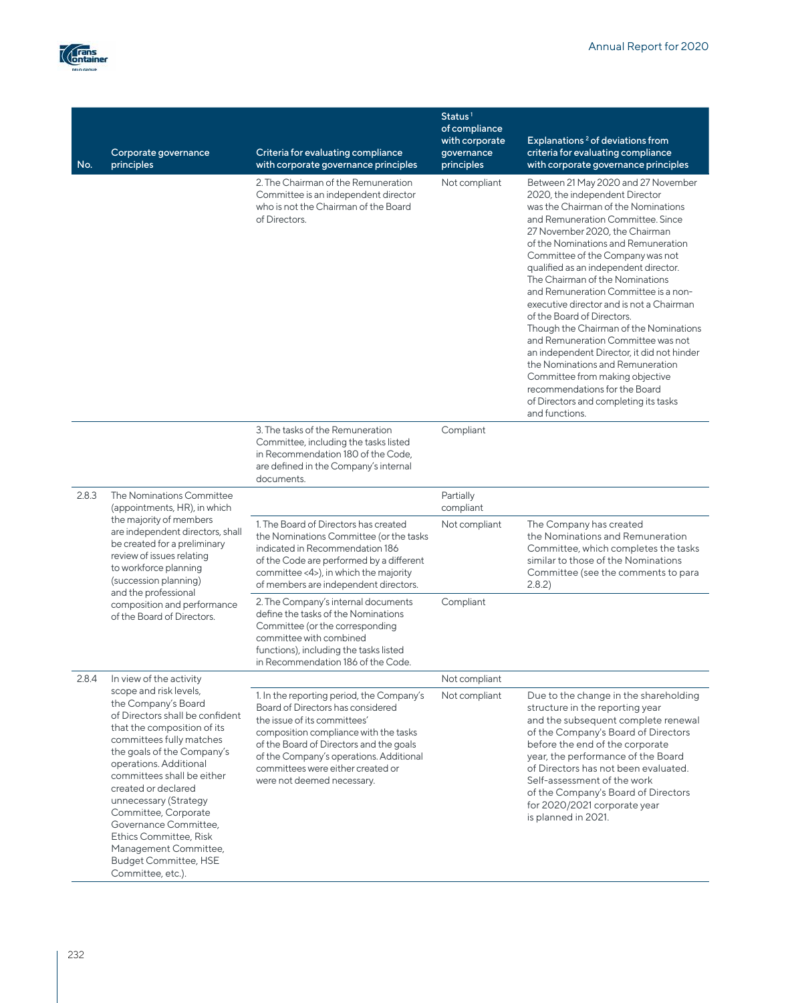

| No.   | Corporate governance<br>principles                                                                                                                                                                                                                                                                                                                                                                                                                | Criteria for evaluating compliance<br>with corporate governance principles                                                                                                                                                                                                                                       | Status <sup>1</sup><br>of compliance<br>with corporate<br>governance<br>principles | Explanations <sup>2</sup> of deviations from<br>criteria for evaluating compliance<br>with corporate governance principles                                                                                                                                                                                                                                                                                                                                                                                                                                                                                                                                                                                                                                    |
|-------|---------------------------------------------------------------------------------------------------------------------------------------------------------------------------------------------------------------------------------------------------------------------------------------------------------------------------------------------------------------------------------------------------------------------------------------------------|------------------------------------------------------------------------------------------------------------------------------------------------------------------------------------------------------------------------------------------------------------------------------------------------------------------|------------------------------------------------------------------------------------|---------------------------------------------------------------------------------------------------------------------------------------------------------------------------------------------------------------------------------------------------------------------------------------------------------------------------------------------------------------------------------------------------------------------------------------------------------------------------------------------------------------------------------------------------------------------------------------------------------------------------------------------------------------------------------------------------------------------------------------------------------------|
|       |                                                                                                                                                                                                                                                                                                                                                                                                                                                   | 2. The Chairman of the Remuneration<br>Committee is an independent director<br>who is not the Chairman of the Board<br>of Directors.                                                                                                                                                                             | Not compliant                                                                      | Between 21 May 2020 and 27 November<br>2020, the independent Director<br>was the Chairman of the Nominations<br>and Remuneration Committee. Since<br>27 November 2020, the Chairman<br>of the Nominations and Remuneration<br>Committee of the Company was not<br>qualified as an independent director.<br>The Chairman of the Nominations<br>and Remuneration Committee is a non-<br>executive director and is not a Chairman<br>of the Board of Directors.<br>Though the Chairman of the Nominations<br>and Remuneration Committee was not<br>an independent Director, it did not hinder<br>the Nominations and Remuneration<br>Committee from making objective<br>recommendations for the Board<br>of Directors and completing its tasks<br>and functions. |
|       |                                                                                                                                                                                                                                                                                                                                                                                                                                                   | 3. The tasks of the Remuneration<br>Committee, including the tasks listed<br>in Recommendation 180 of the Code,<br>are defined in the Company's internal<br>documents.                                                                                                                                           | Compliant                                                                          |                                                                                                                                                                                                                                                                                                                                                                                                                                                                                                                                                                                                                                                                                                                                                               |
| 2.8.3 | The Nominations Committee<br>(appointments, HR), in which                                                                                                                                                                                                                                                                                                                                                                                         |                                                                                                                                                                                                                                                                                                                  | Partially<br>compliant                                                             |                                                                                                                                                                                                                                                                                                                                                                                                                                                                                                                                                                                                                                                                                                                                                               |
|       | the majority of members<br>are independent directors, shall<br>be created for a preliminary<br>review of issues relating<br>to workforce planning<br>(succession planning)<br>and the professional<br>composition and performance<br>of the Board of Directors.                                                                                                                                                                                   | 1. The Board of Directors has created<br>the Nominations Committee (or the tasks<br>indicated in Recommendation 186<br>of the Code are performed by a different<br>committee <4>), in which the majority<br>of members are independent directors.                                                                | Not compliant                                                                      | The Company has created<br>the Nominations and Remuneration<br>Committee, which completes the tasks<br>similar to those of the Nominations<br>Committee (see the comments to para<br>2.8.2                                                                                                                                                                                                                                                                                                                                                                                                                                                                                                                                                                    |
|       |                                                                                                                                                                                                                                                                                                                                                                                                                                                   | 2. The Company's internal documents<br>define the tasks of the Nominations<br>Committee (or the corresponding<br>committee with combined<br>functions), including the tasks listed<br>in Recommendation 186 of the Code.                                                                                         | Compliant                                                                          |                                                                                                                                                                                                                                                                                                                                                                                                                                                                                                                                                                                                                                                                                                                                                               |
| 2.8.4 | In view of the activity                                                                                                                                                                                                                                                                                                                                                                                                                           |                                                                                                                                                                                                                                                                                                                  | Not compliant                                                                      |                                                                                                                                                                                                                                                                                                                                                                                                                                                                                                                                                                                                                                                                                                                                                               |
|       | scope and risk levels,<br>the Company's Board<br>of Directors shall be confident<br>that the composition of its<br>committees fully matches<br>the goals of the Company's<br>operations. Additional<br>committees shall be either<br>created or declared<br>unnecessary (Strategy<br>Committee, Corporate<br>Governance Committee,<br><b>Ethics Committee, Risk</b><br>Management Committee,<br><b>Budget Committee, HSE</b><br>Committee, etc.). | 1. In the reporting period, the Company's<br>Board of Directors has considered<br>the issue of its committees'<br>composition compliance with the tasks<br>of the Board of Directors and the goals<br>of the Company's operations. Additional<br>committees were either created or<br>were not deemed necessary. | Not compliant                                                                      | Due to the change in the shareholding<br>structure in the reporting year<br>and the subsequent complete renewal<br>of the Company's Board of Directors<br>before the end of the corporate<br>year, the performance of the Board<br>of Directors has not been evaluated.<br>Self-assessment of the work<br>of the Company's Board of Directors<br>for 2020/2021 corporate year<br>is planned in 2021.                                                                                                                                                                                                                                                                                                                                                          |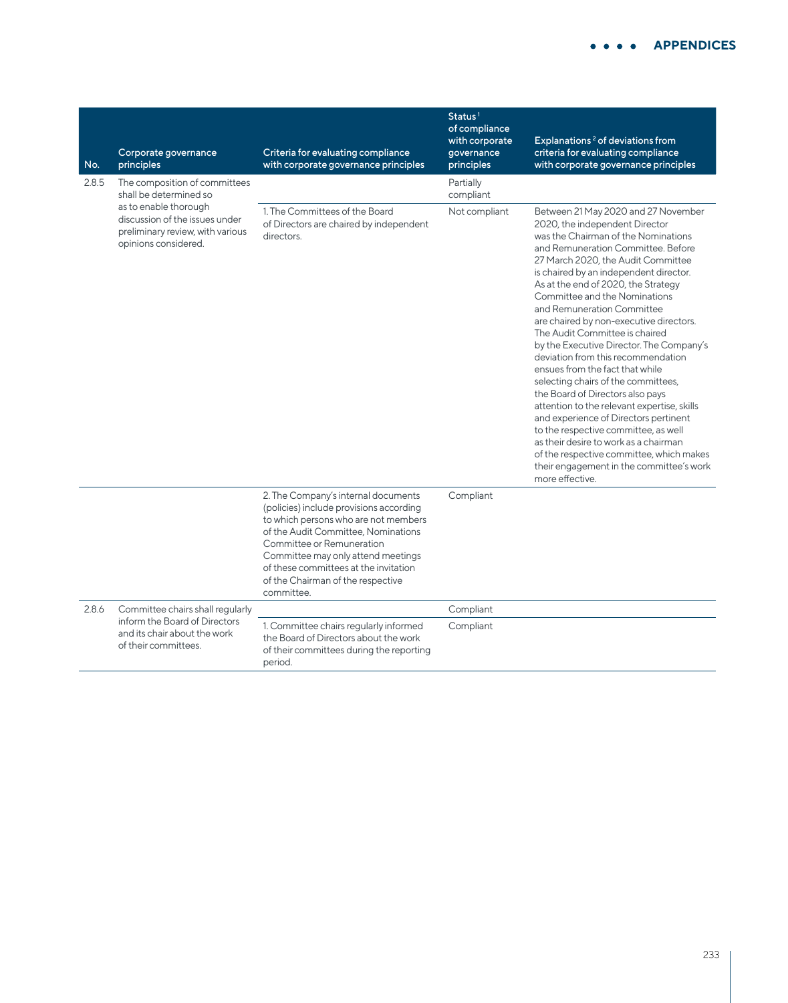| No.   | Corporate governance<br>principles                                                                                  | Criteria for evaluating compliance<br>with corporate governance principles                                                                                                                                                                                                                                                   | Status <sup>1</sup><br>of compliance<br>with corporate<br>governance<br>principles | Explanations <sup>2</sup> of deviations from<br>criteria for evaluating compliance<br>with corporate governance principles                                                                                                                                                                                                                                                                                                                                                                                                                                                                                                                                                                                                                                                                                                                                                                                |
|-------|---------------------------------------------------------------------------------------------------------------------|------------------------------------------------------------------------------------------------------------------------------------------------------------------------------------------------------------------------------------------------------------------------------------------------------------------------------|------------------------------------------------------------------------------------|-----------------------------------------------------------------------------------------------------------------------------------------------------------------------------------------------------------------------------------------------------------------------------------------------------------------------------------------------------------------------------------------------------------------------------------------------------------------------------------------------------------------------------------------------------------------------------------------------------------------------------------------------------------------------------------------------------------------------------------------------------------------------------------------------------------------------------------------------------------------------------------------------------------|
| 2.8.5 | The composition of committees<br>shall be determined so                                                             |                                                                                                                                                                                                                                                                                                                              | Partially<br>compliant                                                             |                                                                                                                                                                                                                                                                                                                                                                                                                                                                                                                                                                                                                                                                                                                                                                                                                                                                                                           |
|       | as to enable thorough<br>discussion of the issues under<br>preliminary review, with various<br>opinions considered. | 1. The Committees of the Board<br>of Directors are chaired by independent<br>directors.                                                                                                                                                                                                                                      | Not compliant                                                                      | Between 21 May 2020 and 27 November<br>2020, the independent Director<br>was the Chairman of the Nominations<br>and Remuneration Committee, Before<br>27 March 2020, the Audit Committee<br>is chaired by an independent director.<br>As at the end of 2020, the Strategy<br>Committee and the Nominations<br>and Remuneration Committee<br>are chaired by non-executive directors.<br>The Audit Committee is chaired<br>by the Executive Director. The Company's<br>deviation from this recommendation<br>ensues from the fact that while<br>selecting chairs of the committees,<br>the Board of Directors also pays<br>attention to the relevant expertise, skills<br>and experience of Directors pertinent<br>to the respective committee, as well<br>as their desire to work as a chairman<br>of the respective committee, which makes<br>their engagement in the committee's work<br>more effective. |
|       |                                                                                                                     | 2. The Company's internal documents<br>(policies) include provisions according<br>to which persons who are not members<br>of the Audit Committee, Nominations<br>Committee or Remuneration<br>Committee may only attend meetings<br>of these committees at the invitation<br>of the Chairman of the respective<br>committee. | Compliant                                                                          |                                                                                                                                                                                                                                                                                                                                                                                                                                                                                                                                                                                                                                                                                                                                                                                                                                                                                                           |
| 2.8.6 | Committee chairs shall regularly                                                                                    |                                                                                                                                                                                                                                                                                                                              | Compliant                                                                          |                                                                                                                                                                                                                                                                                                                                                                                                                                                                                                                                                                                                                                                                                                                                                                                                                                                                                                           |
|       | inform the Board of Directors<br>and its chair about the work<br>of their committees.                               | 1. Committee chairs regularly informed<br>the Board of Directors about the work<br>of their committees during the reporting<br>period.                                                                                                                                                                                       | Compliant                                                                          |                                                                                                                                                                                                                                                                                                                                                                                                                                                                                                                                                                                                                                                                                                                                                                                                                                                                                                           |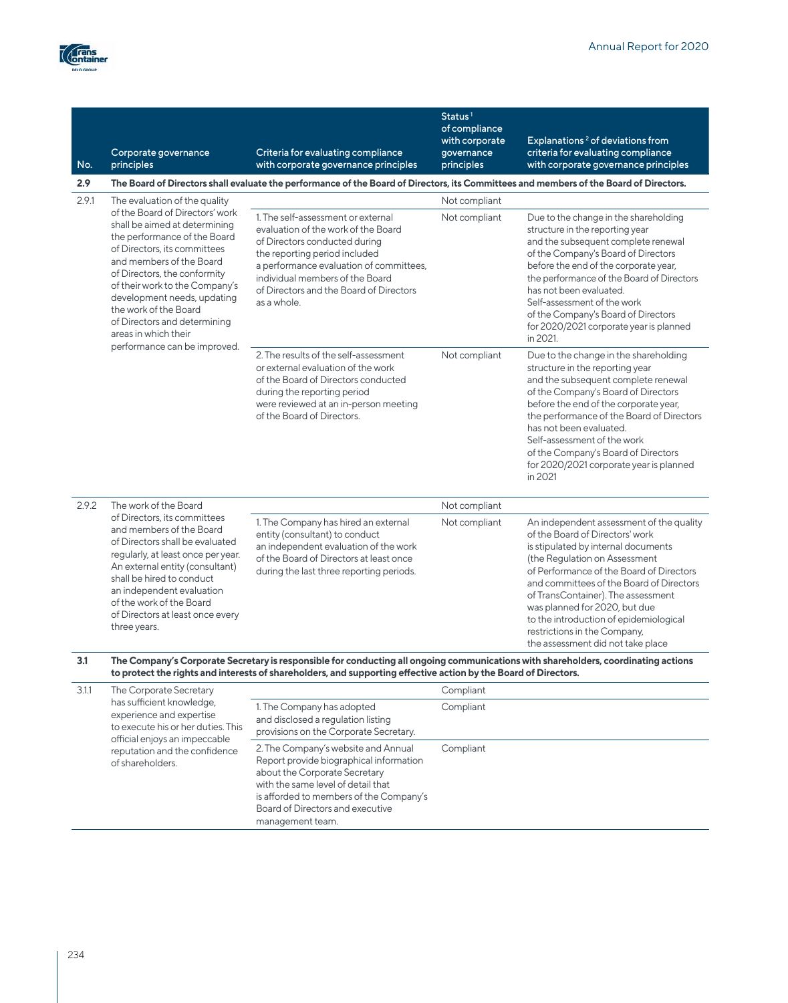

| No.   | Corporate governance<br>principles                                                                                                                                                                                                                                                                                                                                             | Criteria for evaluating compliance<br>with corporate governance principles                                                                                                                                                                                                          | Status <sup>1</sup><br>of compliance<br>with corporate<br>governance<br>principles | Explanations <sup>2</sup> of deviations from<br>criteria for evaluating compliance<br>with corporate governance principles                                                                                                                                                                                                                                                                                                        |
|-------|--------------------------------------------------------------------------------------------------------------------------------------------------------------------------------------------------------------------------------------------------------------------------------------------------------------------------------------------------------------------------------|-------------------------------------------------------------------------------------------------------------------------------------------------------------------------------------------------------------------------------------------------------------------------------------|------------------------------------------------------------------------------------|-----------------------------------------------------------------------------------------------------------------------------------------------------------------------------------------------------------------------------------------------------------------------------------------------------------------------------------------------------------------------------------------------------------------------------------|
| 2.9   |                                                                                                                                                                                                                                                                                                                                                                                | The Board of Directors shall evaluate the performance of the Board of Directors, its Committees and members of the Board of Directors.                                                                                                                                              |                                                                                    |                                                                                                                                                                                                                                                                                                                                                                                                                                   |
| 2.9.1 | The evaluation of the quality                                                                                                                                                                                                                                                                                                                                                  |                                                                                                                                                                                                                                                                                     | Not compliant                                                                      |                                                                                                                                                                                                                                                                                                                                                                                                                                   |
|       | of the Board of Directors' work<br>shall be aimed at determining<br>the performance of the Board<br>of Directors, its committees<br>and members of the Board<br>of Directors, the conformity<br>of their work to the Company's<br>development needs, updating<br>the work of the Board<br>of Directors and determining<br>areas in which their<br>performance can be improved. | 1. The self-assessment or external<br>evaluation of the work of the Board<br>of Directors conducted during<br>the reporting period included<br>a performance evaluation of committees,<br>individual members of the Board<br>of Directors and the Board of Directors<br>as a whole. | Not compliant                                                                      | Due to the change in the shareholding<br>structure in the reporting year<br>and the subsequent complete renewal<br>of the Company's Board of Directors<br>before the end of the corporate year,<br>the performance of the Board of Directors<br>has not been evaluated.<br>Self-assessment of the work<br>of the Company's Board of Directors<br>for 2020/2021 corporate year is planned<br>in 2021.                              |
|       |                                                                                                                                                                                                                                                                                                                                                                                | 2. The results of the self-assessment<br>or external evaluation of the work<br>of the Board of Directors conducted<br>during the reporting period<br>were reviewed at an in-person meeting<br>of the Board of Directors.                                                            | Not compliant                                                                      | Due to the change in the shareholding<br>structure in the reporting year<br>and the subsequent complete renewal<br>of the Company's Board of Directors<br>before the end of the corporate year,<br>the performance of the Board of Directors<br>has not been evaluated.<br>Self-assessment of the work<br>of the Company's Board of Directors<br>for 2020/2021 corporate year is planned<br>in 2021                               |
| 2.9.2 | The work of the Board                                                                                                                                                                                                                                                                                                                                                          |                                                                                                                                                                                                                                                                                     | Not compliant                                                                      |                                                                                                                                                                                                                                                                                                                                                                                                                                   |
|       | of Directors, its committees<br>and members of the Board<br>of Directors shall be evaluated<br>regularly, at least once per year.<br>An external entity (consultant)<br>shall be hired to conduct<br>an independent evaluation<br>of the work of the Board<br>of Directors at least once every<br>three years.                                                                 | 1. The Company has hired an external<br>entity (consultant) to conduct<br>an independent evaluation of the work<br>of the Board of Directors at least once<br>during the last three reporting periods.                                                                              | Not compliant                                                                      | An independent assessment of the quality<br>of the Board of Directors' work<br>is stipulated by internal documents<br>(the Regulation on Assessment<br>of Performance of the Board of Directors<br>and committees of the Board of Directors<br>of TransContainer). The assessment<br>was planned for 2020, but due<br>to the introduction of epidemiological<br>restrictions in the Company,<br>the assessment did not take place |
| 3.1   |                                                                                                                                                                                                                                                                                                                                                                                | The Company's Corporate Secretary is responsible for conducting all ongoing communications with shareholders, coordinating actions<br>to protect the rights and interests of shareholders, and supporting effective action by the Board of Directors.                               |                                                                                    |                                                                                                                                                                                                                                                                                                                                                                                                                                   |
| 3.1.1 | The Corporate Secretary                                                                                                                                                                                                                                                                                                                                                        |                                                                                                                                                                                                                                                                                     | Compliant                                                                          |                                                                                                                                                                                                                                                                                                                                                                                                                                   |
|       | has sufficient knowledge,<br>experience and expertise<br>to execute his or her duties. This<br>official enjoys an impeccable                                                                                                                                                                                                                                                   | 1. The Company has adopted<br>and disclosed a regulation listing<br>provisions on the Corporate Secretary.                                                                                                                                                                          | Compliant                                                                          |                                                                                                                                                                                                                                                                                                                                                                                                                                   |
|       | reputation and the confidence<br>of shareholders.                                                                                                                                                                                                                                                                                                                              | 2. The Company's website and Annual<br>Report provide biographical information<br>about the Corporate Secretary<br>with the same level of detail that<br>is afforded to members of the Company's<br>Board of Directors and executive<br>management team.                            | Compliant                                                                          |                                                                                                                                                                                                                                                                                                                                                                                                                                   |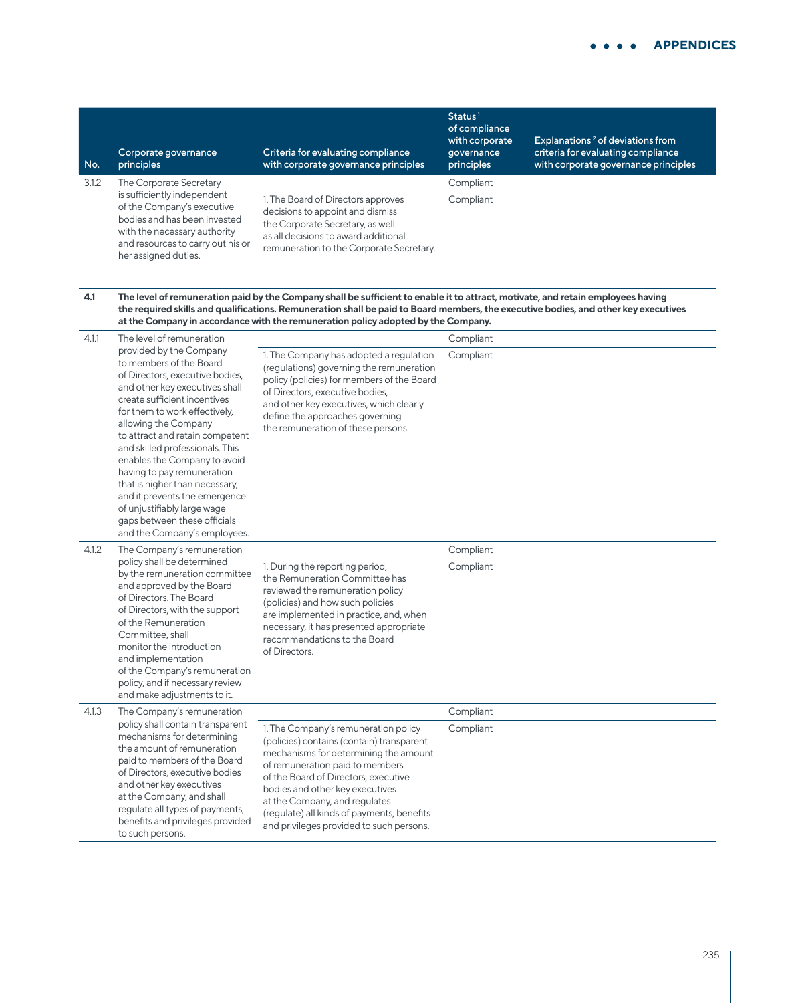| No.   | Corporate governance<br>principles                                                                                                                                                     | Criteria for evaluating compliance<br>with corporate governance principles                                                                                                                     | Status <sup>1</sup><br>of compliance<br>with corporate<br>qovernance<br>principles | Explanations <sup>2</sup> of deviations from<br>criteria for evaluating compliance<br>with corporate governance principles |
|-------|----------------------------------------------------------------------------------------------------------------------------------------------------------------------------------------|------------------------------------------------------------------------------------------------------------------------------------------------------------------------------------------------|------------------------------------------------------------------------------------|----------------------------------------------------------------------------------------------------------------------------|
| 3.1.2 | The Corporate Secretary                                                                                                                                                                |                                                                                                                                                                                                | Compliant                                                                          |                                                                                                                            |
|       | is sufficiently independent<br>of the Company's executive<br>bodies and has been invested<br>with the necessary authority<br>and resources to carry out his or<br>her assigned duties. | 1. The Board of Directors approves<br>decisions to appoint and dismiss<br>the Corporate Secretary, as well<br>as all decisions to award additional<br>remuneration to the Corporate Secretary. | Compliant                                                                          |                                                                                                                            |

**4.1 The level of remuneration paid by the Company shall be sufficient to enable it to attract, motivate, and retain employees having the required skills and qualifications. Remuneration shall be paid to Board members, the executive bodies, and other key executives at the Company in accordance with the remuneration policy adopted by the Company.**

| 4.1.1 | The level of remuneration                                                                                                                                                                                                                                                                                                                                                                                                                                                                                              |                                                                                                                                                                                                                                                                                                                                                                     | Compliant |
|-------|------------------------------------------------------------------------------------------------------------------------------------------------------------------------------------------------------------------------------------------------------------------------------------------------------------------------------------------------------------------------------------------------------------------------------------------------------------------------------------------------------------------------|---------------------------------------------------------------------------------------------------------------------------------------------------------------------------------------------------------------------------------------------------------------------------------------------------------------------------------------------------------------------|-----------|
|       | provided by the Company<br>to members of the Board<br>of Directors, executive bodies,<br>and other key executives shall<br>create sufficient incentives<br>for them to work effectively,<br>allowing the Company<br>to attract and retain competent<br>and skilled professionals. This<br>enables the Company to avoid<br>having to pay remuneration<br>that is higher than necessary,<br>and it prevents the emergence<br>of unjustifiably large wage<br>gaps between these officials<br>and the Company's employees. | 1. The Company has adopted a regulation<br>(regulations) governing the remuneration<br>policy (policies) for members of the Board<br>of Directors, executive bodies,<br>and other key executives, which clearly<br>define the approaches governing<br>the remuneration of these persons.                                                                            | Compliant |
| 4.1.2 | The Company's remuneration                                                                                                                                                                                                                                                                                                                                                                                                                                                                                             |                                                                                                                                                                                                                                                                                                                                                                     | Compliant |
|       | policy shall be determined<br>by the remuneration committee<br>and approved by the Board<br>of Directors. The Board<br>of Directors, with the support<br>of the Remuneration<br>Committee, shall<br>monitor the introduction<br>and implementation<br>of the Company's remuneration<br>policy, and if necessary review<br>and make adjustments to it.                                                                                                                                                                  | 1. During the reporting period,<br>the Remuneration Committee has<br>reviewed the remuneration policy<br>(policies) and how such policies<br>are implemented in practice, and, when<br>necessary, it has presented appropriate<br>recommendations to the Board<br>of Directors.                                                                                     | Compliant |
| 4.1.3 | The Company's remuneration                                                                                                                                                                                                                                                                                                                                                                                                                                                                                             |                                                                                                                                                                                                                                                                                                                                                                     | Compliant |
|       | policy shall contain transparent<br>mechanisms for determining<br>the amount of remuneration<br>paid to members of the Board<br>of Directors, executive bodies<br>and other key executives<br>at the Company, and shall<br>regulate all types of payments,<br>benefits and privileges provided<br>to such persons.                                                                                                                                                                                                     | 1. The Company's remuneration policy<br>(policies) contains (contain) transparent<br>mechanisms for determining the amount<br>of remuneration paid to members<br>of the Board of Directors, executive<br>bodies and other key executives<br>at the Company, and regulates<br>(regulate) all kinds of payments, benefits<br>and privileges provided to such persons. | Compliant |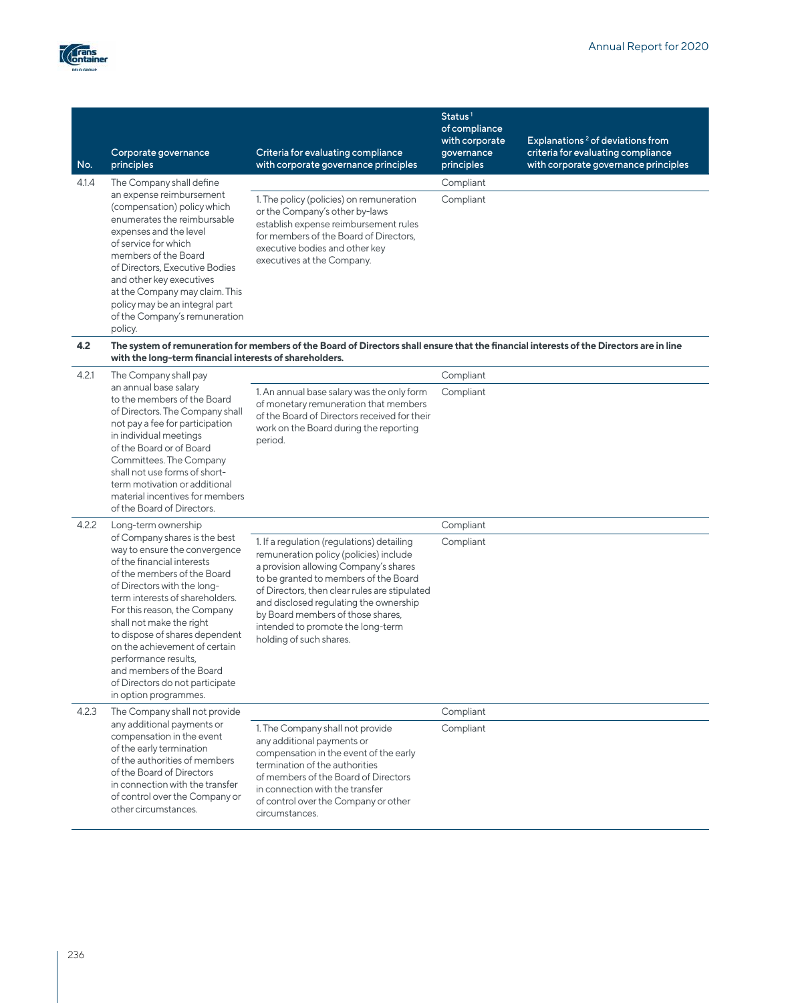

| No.   | Corporate governance<br>principles                                                                                                                                                                                                                                                                                                                                                                                                           | Criteria for evaluating compliance<br>with corporate governance principles                                                                                                                                                                                                                                                                                             | Status $1$<br>of compliance<br>with corporate<br>governance<br>principles | Explanations <sup>2</sup> of deviations from<br>criteria for evaluating compliance<br>with corporate governance principles |
|-------|----------------------------------------------------------------------------------------------------------------------------------------------------------------------------------------------------------------------------------------------------------------------------------------------------------------------------------------------------------------------------------------------------------------------------------------------|------------------------------------------------------------------------------------------------------------------------------------------------------------------------------------------------------------------------------------------------------------------------------------------------------------------------------------------------------------------------|---------------------------------------------------------------------------|----------------------------------------------------------------------------------------------------------------------------|
| 4.1.4 | The Company shall define<br>an expense reimbursement<br>(compensation) policy which<br>enumerates the reimbursable<br>expenses and the level<br>of service for which<br>members of the Board<br>of Directors, Executive Bodies<br>and other key executives<br>at the Company may claim. This<br>policy may be an integral part<br>of the Company's remuneration<br>policy.                                                                   | 1. The policy (policies) on remuneration<br>or the Company's other by-laws<br>establish expense reimbursement rules<br>for members of the Board of Directors,<br>executive bodies and other key<br>executives at the Company.                                                                                                                                          | Compliant<br>Compliant                                                    |                                                                                                                            |
| 4.2   | with the long-term financial interests of shareholders.                                                                                                                                                                                                                                                                                                                                                                                      | The system of remuneration for members of the Board of Directors shall ensure that the financial interests of the Directors are in line                                                                                                                                                                                                                                |                                                                           |                                                                                                                            |
| 4.2.1 | The Company shall pay<br>an annual base salary<br>to the members of the Board<br>of Directors. The Company shall<br>not pay a fee for participation<br>in individual meetings<br>of the Board or of Board<br>Committees. The Company<br>shall not use forms of short-<br>term motivation or additional<br>material incentives for members<br>of the Board of Directors.                                                                      | 1. An annual base salary was the only form<br>of monetary remuneration that members<br>of the Board of Directors received for their<br>work on the Board during the reporting<br>period.                                                                                                                                                                               | Compliant<br>Compliant                                                    |                                                                                                                            |
| 4.2.2 | Long-term ownership                                                                                                                                                                                                                                                                                                                                                                                                                          |                                                                                                                                                                                                                                                                                                                                                                        | Compliant                                                                 |                                                                                                                            |
|       | of Company shares is the best<br>way to ensure the convergence<br>of the financial interests<br>of the members of the Board<br>of Directors with the long-<br>term interests of shareholders.<br>For this reason, the Company<br>shall not make the right<br>to dispose of shares dependent<br>on the achievement of certain<br>performance results,<br>and members of the Board<br>of Directors do not participate<br>in option programmes. | 1. If a regulation (regulations) detailing<br>remuneration policy (policies) include<br>a provision allowing Company's shares<br>to be granted to members of the Board<br>of Directors, then clear rules are stipulated<br>and disclosed regulating the ownership<br>by Board members of those shares,<br>intended to promote the long-term<br>holding of such shares. | Compliant                                                                 |                                                                                                                            |
| 4.2.3 | The Company shall not provide                                                                                                                                                                                                                                                                                                                                                                                                                |                                                                                                                                                                                                                                                                                                                                                                        | Compliant                                                                 |                                                                                                                            |
|       | any additional payments or<br>compensation in the event<br>of the early termination<br>of the authorities of members<br>of the Board of Directors<br>in connection with the transfer<br>of control over the Company or<br>other circumstances.                                                                                                                                                                                               | 1. The Company shall not provide<br>any additional payments or<br>compensation in the event of the early<br>termination of the authorities<br>of members of the Board of Directors<br>in connection with the transfer<br>of control over the Company or other<br>circumstances.                                                                                        | Compliant                                                                 |                                                                                                                            |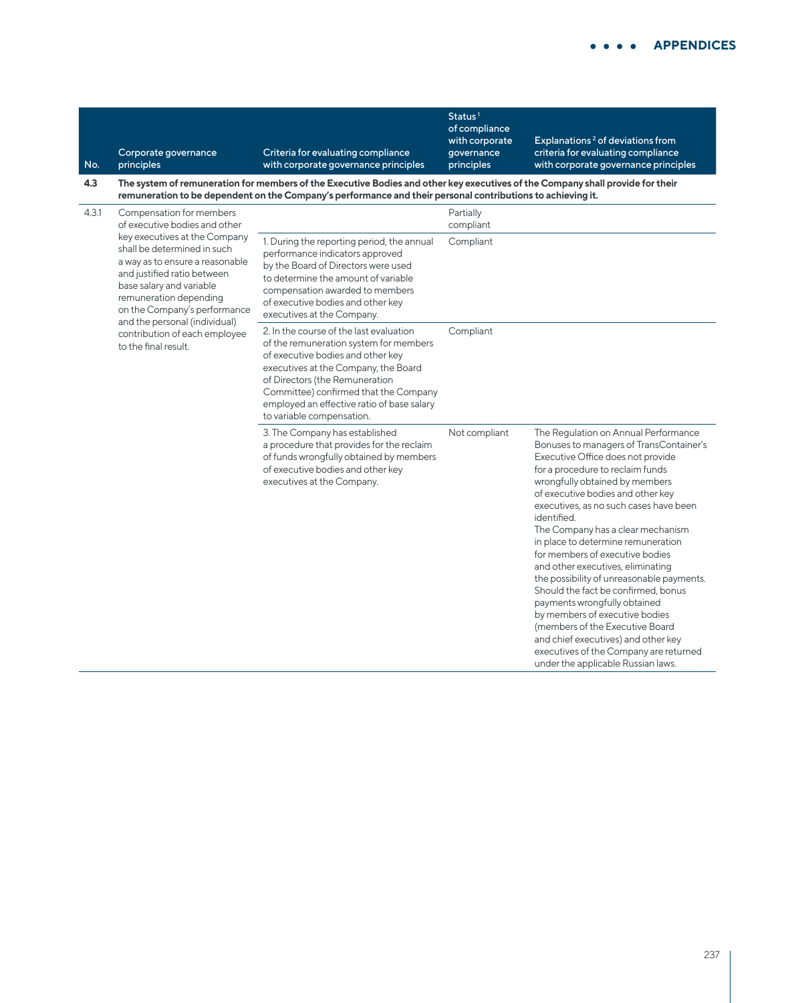| No.   | Corporate governance<br>principles                                                                                                                           | Criteria for evaluating compliance<br>with corporate governance principles                                                                                                                                                                                                                                           | of compliance<br>with corporate<br>governance<br>principles | Explanations <sup>2</sup> of deviations from<br>criteria for evaluating compliance<br>with corporate governance principles                                                                                                                                                                                                                                                                                                                                                                                                                                                                                                                                                                                            |
|-------|--------------------------------------------------------------------------------------------------------------------------------------------------------------|----------------------------------------------------------------------------------------------------------------------------------------------------------------------------------------------------------------------------------------------------------------------------------------------------------------------|-------------------------------------------------------------|-----------------------------------------------------------------------------------------------------------------------------------------------------------------------------------------------------------------------------------------------------------------------------------------------------------------------------------------------------------------------------------------------------------------------------------------------------------------------------------------------------------------------------------------------------------------------------------------------------------------------------------------------------------------------------------------------------------------------|
| 4.3   |                                                                                                                                                              | The system of remuneration for members of the Executive Bodies and other key executives of the Company shall provide for their<br>remuneration to be dependent on the Company's performance and their personal contributions to achieving it.                                                                        |                                                             |                                                                                                                                                                                                                                                                                                                                                                                                                                                                                                                                                                                                                                                                                                                       |
| 4.3.1 | Compensation for members<br>of executive bodies and other<br>key executives at the Company<br>shall be determined in such<br>a way as to ensure a reasonable | 1. During the reporting period, the annual<br>performance indicators approved<br>by the Board of Directors were used                                                                                                                                                                                                 | Partially<br>compliant<br>Compliant                         |                                                                                                                                                                                                                                                                                                                                                                                                                                                                                                                                                                                                                                                                                                                       |
|       | and justified ratio between<br>base salary and variable<br>remuneration depending<br>on the Company's performance<br>and the personal (individual)           | to determine the amount of variable<br>compensation awarded to members<br>of executive bodies and other key<br>executives at the Company.                                                                                                                                                                            |                                                             |                                                                                                                                                                                                                                                                                                                                                                                                                                                                                                                                                                                                                                                                                                                       |
|       | contribution of each employee<br>to the final result.                                                                                                        | 2. In the course of the last evaluation<br>of the remuneration system for members<br>of executive bodies and other key<br>executives at the Company, the Board<br>of Directors (the Remuneration<br>Committee) confirmed that the Company<br>employed an effective ratio of base salary<br>to variable compensation. | Compliant                                                   |                                                                                                                                                                                                                                                                                                                                                                                                                                                                                                                                                                                                                                                                                                                       |
|       |                                                                                                                                                              | 3. The Company has established<br>a procedure that provides for the reclaim<br>of funds wrongfully obtained by members<br>of executive bodies and other key<br>executives at the Company.                                                                                                                            | Not compliant                                               | The Regulation on Annual Performance<br>Bonuses to managers of TransContainer's<br>Executive Office does not provide<br>for a procedure to reclaim funds<br>wrongfully obtained by members<br>of executive bodies and other key<br>executives, as no such cases have been<br>identified.<br>The Company has a clear mechanism<br>in place to determine remuneration<br>for members of executive bodies<br>and other executives, eliminating<br>the possibility of unreasonable payments.<br>Should the fact be confirmed, bonus<br>payments wrongfully obtained<br>by members of executive bodies<br>(members of the Executive Board<br>and chief executives) and other key<br>executives of the Company are returned |

 $\overline{\mathsf{Status}^1}$ 

under the applicable Russian laws.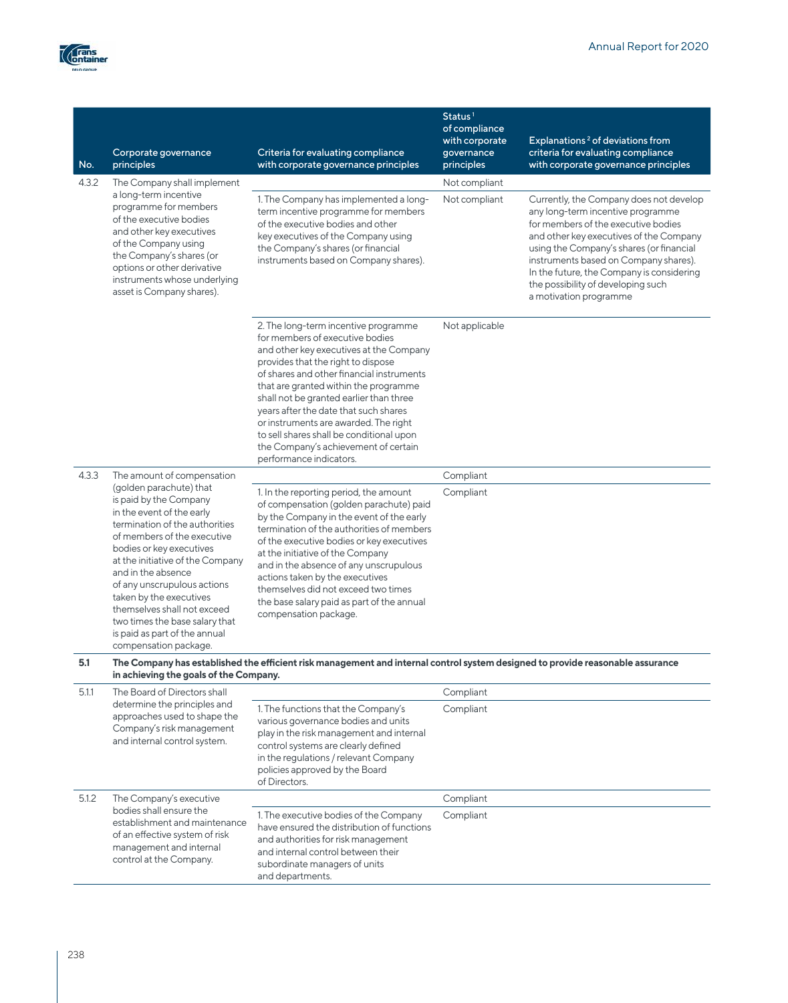

| No.   | Corporate governance<br>principles                                                                                                                                                                                                                                                                                                                                                                                         | Criteria for evaluating compliance<br>with corporate governance principles                                                                                                                                                                                                                                                                                                                                                                                                                 | Status <sup>1</sup><br>of compliance<br>with corporate<br>governance<br>principles | Explanations <sup>2</sup> of deviations from<br>criteria for evaluating compliance<br>with corporate governance principles                                                                                                                                                                                                                                       |
|-------|----------------------------------------------------------------------------------------------------------------------------------------------------------------------------------------------------------------------------------------------------------------------------------------------------------------------------------------------------------------------------------------------------------------------------|--------------------------------------------------------------------------------------------------------------------------------------------------------------------------------------------------------------------------------------------------------------------------------------------------------------------------------------------------------------------------------------------------------------------------------------------------------------------------------------------|------------------------------------------------------------------------------------|------------------------------------------------------------------------------------------------------------------------------------------------------------------------------------------------------------------------------------------------------------------------------------------------------------------------------------------------------------------|
| 4.3.2 | The Company shall implement                                                                                                                                                                                                                                                                                                                                                                                                |                                                                                                                                                                                                                                                                                                                                                                                                                                                                                            | Not compliant                                                                      |                                                                                                                                                                                                                                                                                                                                                                  |
|       | a long-term incentive<br>programme for members<br>of the executive bodies<br>and other key executives<br>of the Company using<br>the Company's shares (or<br>options or other derivative<br>instruments whose underlying<br>asset is Company shares).                                                                                                                                                                      | 1. The Company has implemented a long-<br>term incentive programme for members<br>of the executive bodies and other<br>key executives of the Company using<br>the Company's shares (or financial<br>instruments based on Company shares).                                                                                                                                                                                                                                                  | Not compliant                                                                      | Currently, the Company does not develop<br>any long-term incentive programme<br>for members of the executive bodies<br>and other key executives of the Company<br>using the Company's shares (or financial<br>instruments based on Company shares).<br>In the future, the Company is considering<br>the possibility of developing such<br>a motivation programme |
|       |                                                                                                                                                                                                                                                                                                                                                                                                                            | 2. The long-term incentive programme<br>for members of executive bodies<br>and other key executives at the Company<br>provides that the right to dispose<br>of shares and other financial instruments<br>that are granted within the programme<br>shall not be granted earlier than three<br>years after the date that such shares<br>or instruments are awarded. The right<br>to sell shares shall be conditional upon<br>the Company's achievement of certain<br>performance indicators. | Not applicable                                                                     |                                                                                                                                                                                                                                                                                                                                                                  |
| 4.3.3 | The amount of compensation                                                                                                                                                                                                                                                                                                                                                                                                 |                                                                                                                                                                                                                                                                                                                                                                                                                                                                                            | Compliant                                                                          |                                                                                                                                                                                                                                                                                                                                                                  |
|       | (golden parachute) that<br>is paid by the Company<br>in the event of the early<br>termination of the authorities<br>of members of the executive<br>bodies or key executives<br>at the initiative of the Company<br>and in the absence<br>of any unscrupulous actions<br>taken by the executives<br>themselves shall not exceed<br>two times the base salary that<br>is paid as part of the annual<br>compensation package. | 1. In the reporting period, the amount<br>of compensation (golden parachute) paid<br>by the Company in the event of the early<br>termination of the authorities of members<br>of the executive bodies or key executives<br>at the initiative of the Company<br>and in the absence of any unscrupulous<br>actions taken by the executives<br>themselves did not exceed two times<br>the base salary paid as part of the annual<br>compensation package.                                     | Compliant                                                                          |                                                                                                                                                                                                                                                                                                                                                                  |
| 5.1   | in achieving the goals of the Company.                                                                                                                                                                                                                                                                                                                                                                                     | The Company has established the efficient risk management and internal control system designed to provide reasonable assurance                                                                                                                                                                                                                                                                                                                                                             |                                                                                    |                                                                                                                                                                                                                                                                                                                                                                  |
| 5.1.1 | The Board of Directors shall                                                                                                                                                                                                                                                                                                                                                                                               |                                                                                                                                                                                                                                                                                                                                                                                                                                                                                            | Compliant                                                                          |                                                                                                                                                                                                                                                                                                                                                                  |
|       | determine the principles and<br>approaches used to shape the<br>Company's risk management<br>and internal control system.                                                                                                                                                                                                                                                                                                  | 1. The functions that the Company's<br>various governance bodies and units<br>play in the risk management and internal<br>control systems are clearly defined<br>in the regulations / relevant Company<br>policies approved by the Board<br>of Directors.                                                                                                                                                                                                                                  | Compliant                                                                          |                                                                                                                                                                                                                                                                                                                                                                  |
| 5.1.2 | The Company's executive                                                                                                                                                                                                                                                                                                                                                                                                    |                                                                                                                                                                                                                                                                                                                                                                                                                                                                                            | Compliant                                                                          |                                                                                                                                                                                                                                                                                                                                                                  |
|       | bodies shall ensure the<br>establishment and maintenance<br>of an effective system of risk<br>management and internal<br>control at the Company.                                                                                                                                                                                                                                                                           | 1. The executive bodies of the Company<br>have ensured the distribution of functions<br>and authorities for risk management<br>and internal control between their<br>subordinate managers of units<br>and departments.                                                                                                                                                                                                                                                                     | Compliant                                                                          |                                                                                                                                                                                                                                                                                                                                                                  |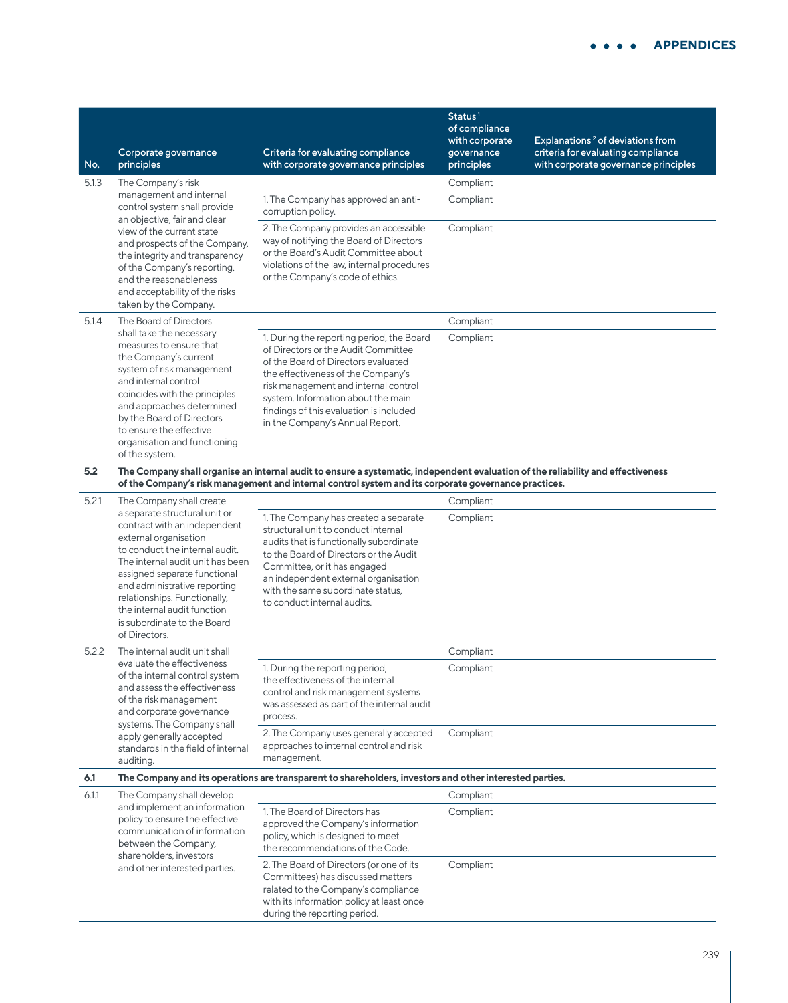| No.   | Corporate governance<br>principles                                                                                                                                                                                                                                                                                                          | Criteria for evaluating compliance<br>with corporate governance principles                                                                                                                                                                                                                                                | Status <sup>1</sup><br>of compliance<br>with corporate<br>governance<br>principles | Explanations <sup>2</sup> of deviations from<br>criteria for evaluating compliance<br>with corporate governance principles |
|-------|---------------------------------------------------------------------------------------------------------------------------------------------------------------------------------------------------------------------------------------------------------------------------------------------------------------------------------------------|---------------------------------------------------------------------------------------------------------------------------------------------------------------------------------------------------------------------------------------------------------------------------------------------------------------------------|------------------------------------------------------------------------------------|----------------------------------------------------------------------------------------------------------------------------|
| 5.1.3 | The Company's risk                                                                                                                                                                                                                                                                                                                          |                                                                                                                                                                                                                                                                                                                           | Compliant                                                                          |                                                                                                                            |
|       | management and internal<br>control system shall provide<br>an objective, fair and clear                                                                                                                                                                                                                                                     | 1. The Company has approved an anti-<br>corruption policy.                                                                                                                                                                                                                                                                | Compliant                                                                          |                                                                                                                            |
|       | view of the current state<br>and prospects of the Company,<br>the integrity and transparency<br>of the Company's reporting,<br>and the reasonableness<br>and acceptability of the risks<br>taken by the Company.                                                                                                                            | 2. The Company provides an accessible<br>way of notifying the Board of Directors<br>or the Board's Audit Committee about<br>violations of the law, internal procedures<br>or the Company's code of ethics.                                                                                                                | Compliant                                                                          |                                                                                                                            |
| 5.1.4 | The Board of Directors                                                                                                                                                                                                                                                                                                                      |                                                                                                                                                                                                                                                                                                                           | Compliant                                                                          |                                                                                                                            |
|       | shall take the necessary<br>measures to ensure that<br>the Company's current<br>system of risk management<br>and internal control<br>coincides with the principles<br>and approaches determined<br>by the Board of Directors<br>to ensure the effective<br>organisation and functioning<br>of the system.                                   | 1. During the reporting period, the Board<br>of Directors or the Audit Committee<br>of the Board of Directors evaluated<br>the effectiveness of the Company's<br>risk management and internal control<br>system. Information about the main<br>findings of this evaluation is included<br>in the Company's Annual Report. | Compliant                                                                          |                                                                                                                            |
| 5.2   |                                                                                                                                                                                                                                                                                                                                             | The Company shall organise an internal audit to ensure a systematic, independent evaluation of the reliability and effectiveness<br>of the Company's risk management and internal control system and its corporate governance practices.                                                                                  |                                                                                    |                                                                                                                            |
| 5.2.1 | The Company shall create                                                                                                                                                                                                                                                                                                                    |                                                                                                                                                                                                                                                                                                                           | Compliant                                                                          |                                                                                                                            |
|       | a separate structural unit or<br>contract with an independent<br>external organisation<br>to conduct the internal audit.<br>The internal audit unit has been<br>assigned separate functional<br>and administrative reporting<br>relationships. Functionally,<br>the internal audit function<br>is subordinate to the Board<br>of Directors. | 1. The Company has created a separate<br>structural unit to conduct internal<br>audits that is functionally subordinate<br>to the Board of Directors or the Audit<br>Committee, or it has engaged<br>an independent external organisation<br>with the same subordinate status,<br>to conduct internal audits.             | Compliant                                                                          |                                                                                                                            |
| 5.2.2 | The internal audit unit shall                                                                                                                                                                                                                                                                                                               |                                                                                                                                                                                                                                                                                                                           | Compliant                                                                          |                                                                                                                            |
|       | evaluate the effectiveness<br>of the internal control system<br>and assess the effectiveness<br>of the risk management<br>and corporate governance<br>systems. The Company shall                                                                                                                                                            | 1. During the reporting period,<br>the effectiveness of the internal<br>control and risk management systems<br>was assessed as part of the internal audit<br>process.<br>2. The Company uses generally accepted                                                                                                           | Compliant<br>Compliant                                                             |                                                                                                                            |
|       | apply generally accepted<br>standards in the field of internal<br>auditing.                                                                                                                                                                                                                                                                 | approaches to internal control and risk<br>management.                                                                                                                                                                                                                                                                    |                                                                                    |                                                                                                                            |
| 6.1   |                                                                                                                                                                                                                                                                                                                                             | The Company and its operations are transparent to shareholders, investors and other interested parties.                                                                                                                                                                                                                   |                                                                                    |                                                                                                                            |
| 6.1.1 | The Company shall develop                                                                                                                                                                                                                                                                                                                   |                                                                                                                                                                                                                                                                                                                           | Compliant                                                                          |                                                                                                                            |
|       | and implement an information<br>policy to ensure the effective<br>communication of information<br>between the Company,<br>shareholders, investors                                                                                                                                                                                           | 1. The Board of Directors has<br>approved the Company's information<br>policy, which is designed to meet<br>the recommendations of the Code.                                                                                                                                                                              | Compliant                                                                          |                                                                                                                            |
|       | and other interested parties.                                                                                                                                                                                                                                                                                                               | 2. The Board of Directors (or one of its<br>Committees) has discussed matters<br>related to the Company's compliance<br>with its information policy at least once<br>during the reporting period.                                                                                                                         | Compliant                                                                          |                                                                                                                            |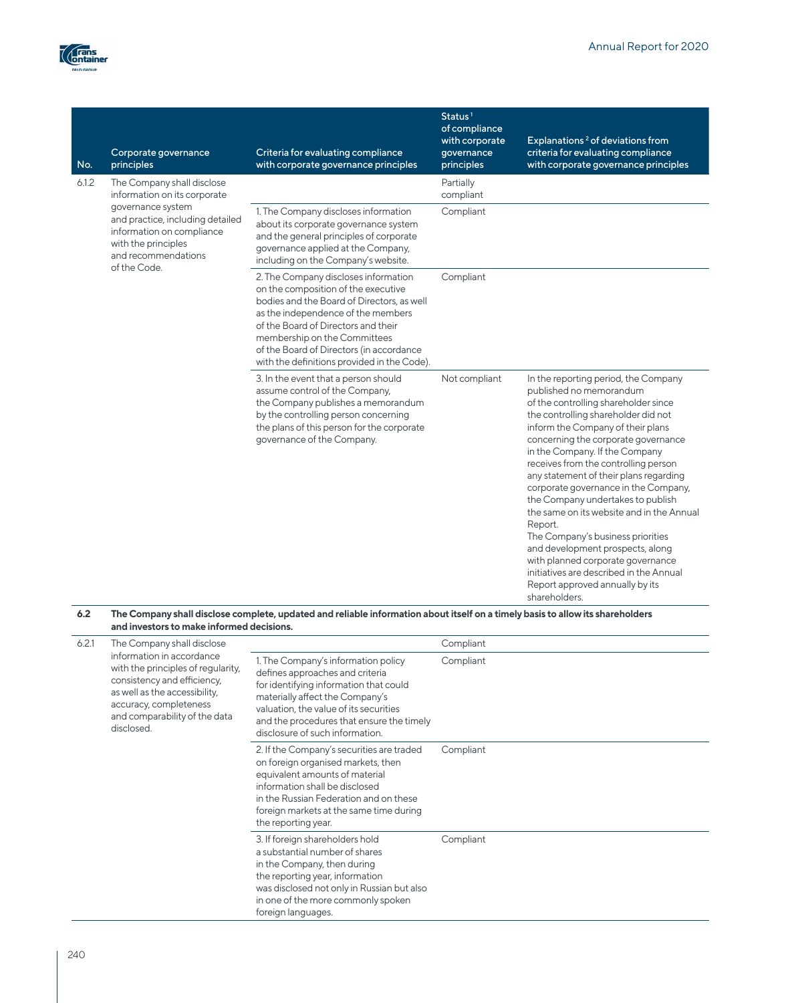

| No.   | Corporate governance<br>principles                                                                                               | Criteria for evaluating compliance<br>with corporate governance principles                                                                                                                                                                                                                                                        | Status <sup>1</sup><br>of compliance<br>with corporate<br>governance<br>principles | Explanations <sup>2</sup> of deviations from<br>criteria for evaluating compliance<br>with corporate governance principles                                                                                                                                                                                                                                                                                                                                                                                                                                                                                                                                                                       |
|-------|----------------------------------------------------------------------------------------------------------------------------------|-----------------------------------------------------------------------------------------------------------------------------------------------------------------------------------------------------------------------------------------------------------------------------------------------------------------------------------|------------------------------------------------------------------------------------|--------------------------------------------------------------------------------------------------------------------------------------------------------------------------------------------------------------------------------------------------------------------------------------------------------------------------------------------------------------------------------------------------------------------------------------------------------------------------------------------------------------------------------------------------------------------------------------------------------------------------------------------------------------------------------------------------|
| 6.1.2 | The Company shall disclose<br>information on its corporate                                                                       |                                                                                                                                                                                                                                                                                                                                   | Partially<br>compliant                                                             |                                                                                                                                                                                                                                                                                                                                                                                                                                                                                                                                                                                                                                                                                                  |
|       | governance system<br>and practice, including detailed<br>information on compliance<br>with the principles<br>and recommendations | 1. The Company discloses information<br>about its corporate governance system<br>and the general principles of corporate<br>governance applied at the Company,<br>including on the Company's website.                                                                                                                             | Compliant                                                                          |                                                                                                                                                                                                                                                                                                                                                                                                                                                                                                                                                                                                                                                                                                  |
|       | of the Code.                                                                                                                     | 2. The Company discloses information<br>on the composition of the executive<br>bodies and the Board of Directors, as well<br>as the independence of the members<br>of the Board of Directors and their<br>membership on the Committees<br>of the Board of Directors (in accordance<br>with the definitions provided in the Code). | Compliant                                                                          |                                                                                                                                                                                                                                                                                                                                                                                                                                                                                                                                                                                                                                                                                                  |
|       |                                                                                                                                  | 3. In the event that a person should<br>assume control of the Company,<br>the Company publishes a memorandum<br>by the controlling person concerning<br>the plans of this person for the corporate<br>governance of the Company.                                                                                                  | Not compliant                                                                      | In the reporting period, the Company<br>published no memorandum<br>of the controlling shareholder since<br>the controlling shareholder did not<br>inform the Company of their plans<br>concerning the corporate governance<br>in the Company. If the Company<br>receives from the controlling person<br>any statement of their plans regarding<br>corporate governance in the Company,<br>the Company undertakes to publish<br>the same on its website and in the Annual<br>Report.<br>The Company's business priorities<br>and development prospects, along<br>with planned corporate governance<br>initiatives are described in the Annual<br>Report approved annually by its<br>shareholders. |

#### **6.2 The Company shall disclose complete, updated and reliable information about itself on a timely basis to allow its shareholders and investors to make informed decisions.**

| 6.2.1 | The Company shall disclose<br>information in accordance<br>with the principles of regularity,<br>consistency and efficiency,<br>as well as the accessibility,<br>accuracy, completeness<br>and comparability of the data<br>disclosed. |                                                                                                                                                                                                                                                                               | Compliant |
|-------|----------------------------------------------------------------------------------------------------------------------------------------------------------------------------------------------------------------------------------------|-------------------------------------------------------------------------------------------------------------------------------------------------------------------------------------------------------------------------------------------------------------------------------|-----------|
|       |                                                                                                                                                                                                                                        | 1. The Company's information policy<br>defines approaches and criteria<br>for identifying information that could<br>materially affect the Company's<br>valuation, the value of its securities<br>and the procedures that ensure the timely<br>disclosure of such information. | Compliant |
|       |                                                                                                                                                                                                                                        | 2. If the Company's securities are traded<br>on foreign organised markets, then<br>equivalent amounts of material<br>information shall be disclosed<br>in the Russian Federation and on these<br>foreign markets at the same time during<br>the reporting year.               | Compliant |
|       |                                                                                                                                                                                                                                        | 3. If foreign shareholders hold<br>a substantial number of shares<br>in the Company, then during<br>the reporting year, information<br>was disclosed not only in Russian but also<br>in one of the more commonly spoken<br>foreign languages.                                 | Compliant |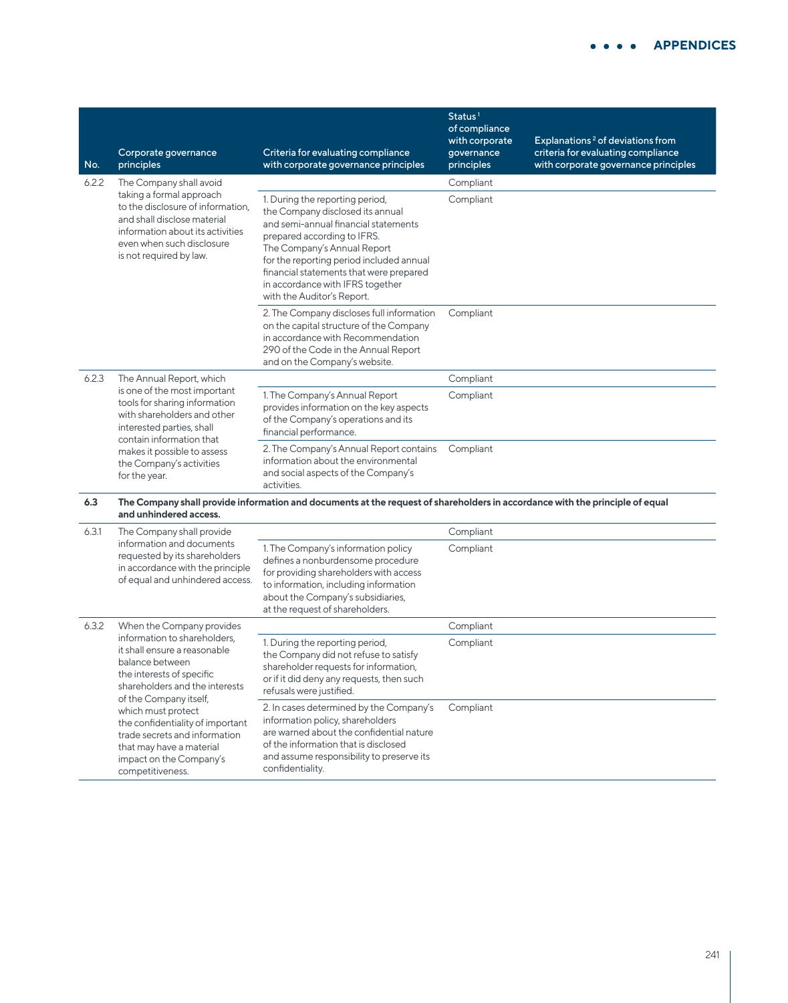| No.   | Corporate governance<br>principles                                                                                                                                                                                                                                                                                                             | Criteria for evaluating compliance<br>with corporate governance principles                                                                                                                                                                                                                                                         | Status <sup>1</sup><br>of compliance<br>with corporate<br>governance<br>principles | Explanations <sup>2</sup> of deviations from<br>criteria for evaluating compliance<br>with corporate governance principles |
|-------|------------------------------------------------------------------------------------------------------------------------------------------------------------------------------------------------------------------------------------------------------------------------------------------------------------------------------------------------|------------------------------------------------------------------------------------------------------------------------------------------------------------------------------------------------------------------------------------------------------------------------------------------------------------------------------------|------------------------------------------------------------------------------------|----------------------------------------------------------------------------------------------------------------------------|
| 6.2.2 | The Company shall avoid                                                                                                                                                                                                                                                                                                                        |                                                                                                                                                                                                                                                                                                                                    | Compliant                                                                          |                                                                                                                            |
|       | taking a formal approach<br>to the disclosure of information,<br>and shall disclose material<br>information about its activities<br>even when such disclosure<br>is not required by law.                                                                                                                                                       | 1. During the reporting period,<br>the Company disclosed its annual<br>and semi-annual financial statements<br>prepared according to IFRS.<br>The Company's Annual Report<br>for the reporting period included annual<br>financial statements that were prepared<br>in accordance with IFRS together<br>with the Auditor's Report. | Compliant                                                                          |                                                                                                                            |
|       |                                                                                                                                                                                                                                                                                                                                                | 2. The Company discloses full information<br>on the capital structure of the Company<br>in accordance with Recommendation<br>290 of the Code in the Annual Report<br>and on the Company's website.                                                                                                                                 | Compliant                                                                          |                                                                                                                            |
| 6.2.3 | The Annual Report, which<br>is one of the most important<br>tools for sharing information<br>with shareholders and other<br>interested parties, shall<br>contain information that<br>makes it possible to assess<br>the Company's activities<br>for the year.                                                                                  |                                                                                                                                                                                                                                                                                                                                    | Compliant                                                                          |                                                                                                                            |
|       |                                                                                                                                                                                                                                                                                                                                                | 1. The Company's Annual Report<br>provides information on the key aspects<br>of the Company's operations and its<br>financial performance.                                                                                                                                                                                         | Compliant                                                                          |                                                                                                                            |
|       |                                                                                                                                                                                                                                                                                                                                                | 2. The Company's Annual Report contains<br>information about the environmental<br>and social aspects of the Company's<br>activities.                                                                                                                                                                                               | Compliant                                                                          |                                                                                                                            |
| 6.3   | and unhindered access.                                                                                                                                                                                                                                                                                                                         | The Company shall provide information and documents at the request of shareholders in accordance with the principle of equal                                                                                                                                                                                                       |                                                                                    |                                                                                                                            |
| 6.3.1 | The Company shall provide<br>information and documents<br>requested by its shareholders<br>in accordance with the principle<br>of equal and unhindered access.                                                                                                                                                                                 |                                                                                                                                                                                                                                                                                                                                    | Compliant                                                                          |                                                                                                                            |
|       |                                                                                                                                                                                                                                                                                                                                                | 1. The Company's information policy<br>defines a nonburdensome procedure<br>for providing shareholders with access<br>to information, including information<br>about the Company's subsidiaries,<br>at the request of shareholders.                                                                                                | Compliant                                                                          |                                                                                                                            |
| 6.3.2 | When the Company provides                                                                                                                                                                                                                                                                                                                      |                                                                                                                                                                                                                                                                                                                                    | Compliant                                                                          |                                                                                                                            |
|       | information to shareholders,<br>it shall ensure a reasonable<br>balance between<br>the interests of specific<br>shareholders and the interests<br>of the Company itself,<br>which must protect<br>the confidentiality of important<br>trade secrets and information<br>that may have a material<br>impact on the Company's<br>competitiveness. | 1. During the reporting period,<br>the Company did not refuse to satisfy<br>shareholder requests for information,<br>or if it did deny any requests, then such<br>refusals were justified.                                                                                                                                         | Compliant                                                                          |                                                                                                                            |
|       |                                                                                                                                                                                                                                                                                                                                                | 2. In cases determined by the Company's<br>information policy, shareholders<br>are warned about the confidential nature<br>of the information that is disclosed<br>and assume responsibility to preserve its<br>confidentiality.                                                                                                   | Compliant                                                                          |                                                                                                                            |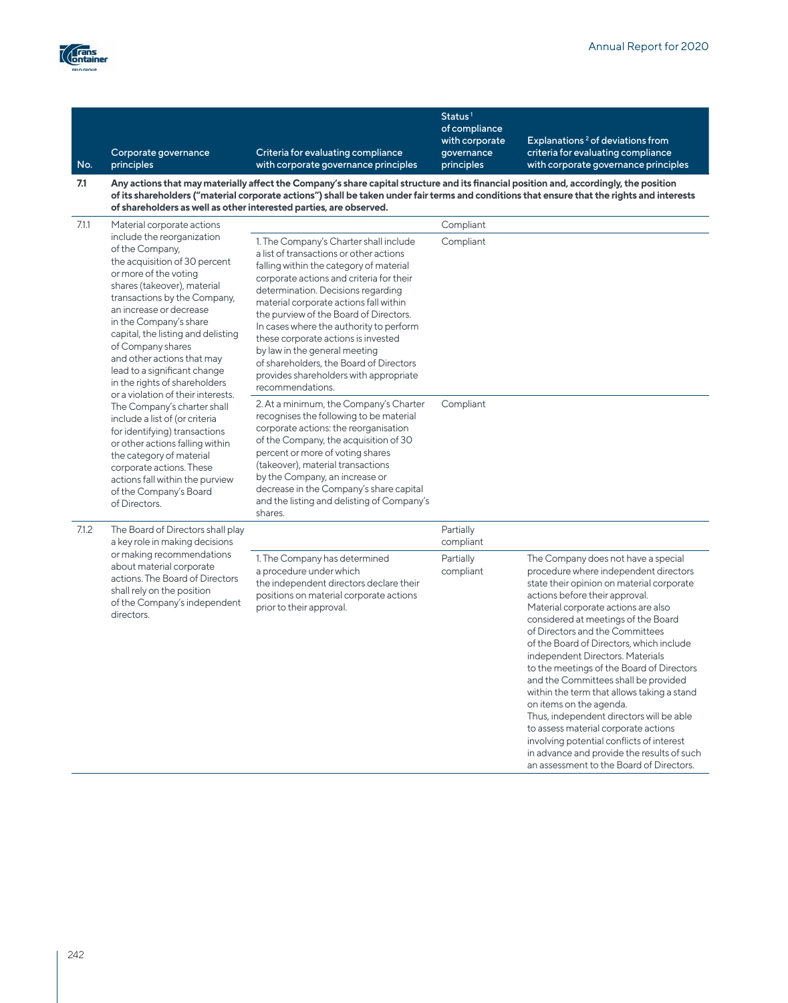an assessment to the Board of Directors.



| No.   | Corporate governance<br>principles                                                                                                                                                                                                                                                                                                                                                                                                                                                                                                                                                                                                                                                                                                   | Criteria for evaluating compliance<br>with corporate governance principles                                                                                                                                                                                                                                                                                                           | Status <sup>1</sup><br>of compliance<br>with corporate<br>governance<br>principles | Explanations <sup>2</sup> of deviations from<br>criteria for evaluating compliance<br>with corporate governance principles                                                                                                                                                                                                                                                                                                                                                                                                                                                                                                                                                                                |
|-------|--------------------------------------------------------------------------------------------------------------------------------------------------------------------------------------------------------------------------------------------------------------------------------------------------------------------------------------------------------------------------------------------------------------------------------------------------------------------------------------------------------------------------------------------------------------------------------------------------------------------------------------------------------------------------------------------------------------------------------------|--------------------------------------------------------------------------------------------------------------------------------------------------------------------------------------------------------------------------------------------------------------------------------------------------------------------------------------------------------------------------------------|------------------------------------------------------------------------------------|-----------------------------------------------------------------------------------------------------------------------------------------------------------------------------------------------------------------------------------------------------------------------------------------------------------------------------------------------------------------------------------------------------------------------------------------------------------------------------------------------------------------------------------------------------------------------------------------------------------------------------------------------------------------------------------------------------------|
| 7.1   |                                                                                                                                                                                                                                                                                                                                                                                                                                                                                                                                                                                                                                                                                                                                      | Any actions that may materially affect the Company's share capital structure and its financial position and, accordingly, the position<br>of its shareholders ("material corporate actions") shall be taken under fair terms and conditions that ensure that the rights and interests<br>of shareholders as well as other interested parties, are observed.                          |                                                                                    |                                                                                                                                                                                                                                                                                                                                                                                                                                                                                                                                                                                                                                                                                                           |
| 7.1.1 | Material corporate actions<br>include the reorganization<br>of the Company,<br>the acquisition of 30 percent<br>or more of the voting<br>shares (takeover), material<br>transactions by the Company,<br>an increase or decrease<br>in the Company's share<br>capital, the listing and delisting<br>of Company shares<br>and other actions that may<br>lead to a significant change<br>in the rights of shareholders<br>or a violation of their interests.<br>The Company's charter shall<br>include a list of (or criteria<br>for identifying) transactions<br>or other actions falling within<br>the category of material<br>corporate actions. These<br>actions fall within the purview<br>of the Company's Board<br>of Directors. | 1. The Company's Charter shall include<br>a list of transactions or other actions<br>falling within the category of material<br>corporate actions and criteria for their<br>determination. Decisions regarding<br>material corporate actions fall within<br>the purview of the Board of Directors.<br>In cases where the authority to perform<br>these corporate actions is invested | Compliant<br>Compliant                                                             |                                                                                                                                                                                                                                                                                                                                                                                                                                                                                                                                                                                                                                                                                                           |
|       |                                                                                                                                                                                                                                                                                                                                                                                                                                                                                                                                                                                                                                                                                                                                      | by law in the general meeting<br>of shareholders, the Board of Directors<br>provides shareholders with appropriate<br>recommendations.                                                                                                                                                                                                                                               |                                                                                    |                                                                                                                                                                                                                                                                                                                                                                                                                                                                                                                                                                                                                                                                                                           |
|       |                                                                                                                                                                                                                                                                                                                                                                                                                                                                                                                                                                                                                                                                                                                                      | 2. At a minimum, the Company's Charter<br>recognises the following to be material<br>corporate actions: the reorganisation<br>of the Company, the acquisition of 30<br>percent or more of voting shares<br>(takeover), material transactions<br>by the Company, an increase or<br>decrease in the Company's share capital<br>and the listing and delisting of Company's<br>shares.   | Compliant                                                                          |                                                                                                                                                                                                                                                                                                                                                                                                                                                                                                                                                                                                                                                                                                           |
| 7.1.2 | The Board of Directors shall play<br>a key role in making decisions                                                                                                                                                                                                                                                                                                                                                                                                                                                                                                                                                                                                                                                                  |                                                                                                                                                                                                                                                                                                                                                                                      | Partially<br>compliant                                                             |                                                                                                                                                                                                                                                                                                                                                                                                                                                                                                                                                                                                                                                                                                           |
|       | or making recommendations<br>about material corporate<br>actions. The Board of Directors<br>shall rely on the position<br>of the Company's independent<br>directors.                                                                                                                                                                                                                                                                                                                                                                                                                                                                                                                                                                 | 1. The Company has determined<br>a procedure under which<br>the independent directors declare their<br>positions on material corporate actions<br>prior to their approval.                                                                                                                                                                                                           | Partially<br>compliant                                                             | The Company does not have a special<br>procedure where independent directors<br>state their opinion on material corporate<br>actions before their approval.<br>Material corporate actions are also<br>considered at meetings of the Board<br>of Directors and the Committees<br>of the Board of Directors, which include<br>independent Directors. Materials<br>to the meetings of the Board of Directors<br>and the Committees shall be provided<br>within the term that allows taking a stand<br>on items on the agenda.<br>Thus, independent directors will be able<br>to assess material corporate actions<br>involving potential conflicts of interest<br>in advance and provide the results of such |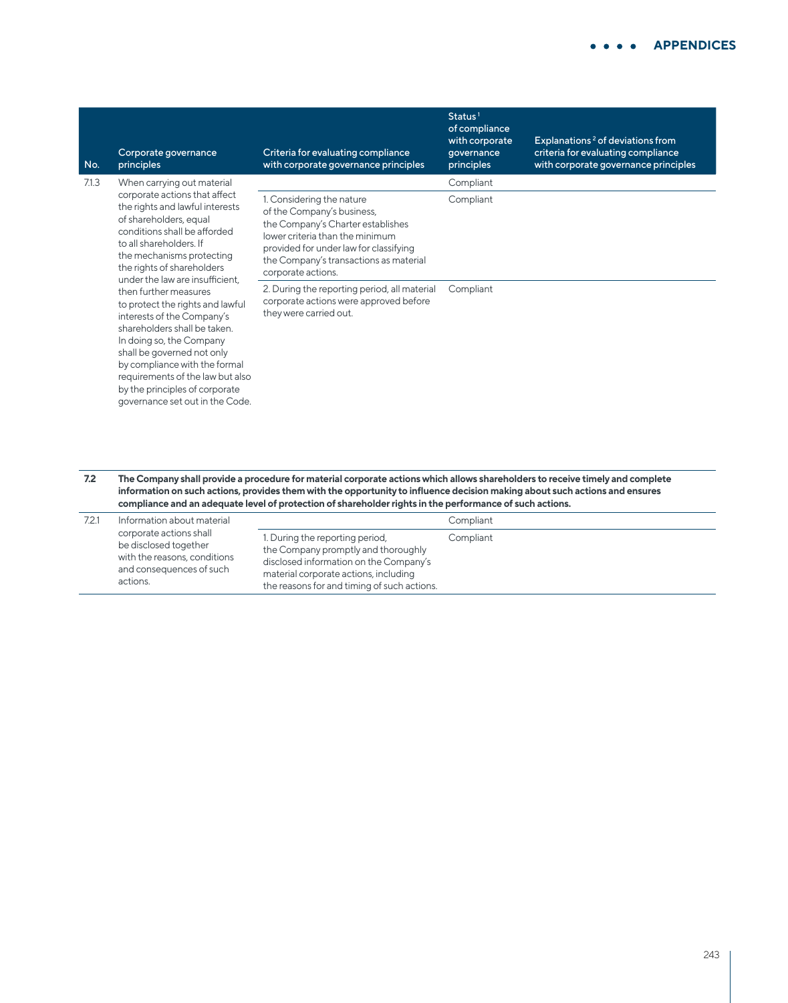| No.   | Corporate governance<br>principles                                                                                                                                                                                                                                                                                                                                                                                                                                                                                                                                                                               | Criteria for evaluating compliance<br>with corporate governance principles                                                                                                                                                                | Status <sup>1</sup><br>of compliance<br>with corporate<br>qovernance<br>principles | Explanations <sup>2</sup> of deviations from<br>criteria for evaluating compliance<br>with corporate governance principles |
|-------|------------------------------------------------------------------------------------------------------------------------------------------------------------------------------------------------------------------------------------------------------------------------------------------------------------------------------------------------------------------------------------------------------------------------------------------------------------------------------------------------------------------------------------------------------------------------------------------------------------------|-------------------------------------------------------------------------------------------------------------------------------------------------------------------------------------------------------------------------------------------|------------------------------------------------------------------------------------|----------------------------------------------------------------------------------------------------------------------------|
| 7.1.3 | When carrying out material<br>corporate actions that affect<br>the rights and lawful interests<br>of shareholders, equal<br>conditions shall be afforded<br>to all shareholders. If<br>the mechanisms protecting<br>the rights of shareholders<br>under the law are insufficient.<br>then further measures<br>to protect the rights and lawful<br>interests of the Company's<br>shareholders shall be taken.<br>In doing so, the Company<br>shall be governed not only<br>by compliance with the formal<br>requirements of the law but also<br>by the principles of corporate<br>governance set out in the Code. |                                                                                                                                                                                                                                           | Compliant                                                                          |                                                                                                                            |
|       |                                                                                                                                                                                                                                                                                                                                                                                                                                                                                                                                                                                                                  | 1. Considering the nature<br>of the Company's business,<br>the Company's Charter establishes<br>lower criteria than the minimum<br>provided for under law for classifying<br>the Company's transactions as material<br>corporate actions. | Compliant                                                                          |                                                                                                                            |
|       |                                                                                                                                                                                                                                                                                                                                                                                                                                                                                                                                                                                                                  | 2. During the reporting period, all material<br>corporate actions were approved before<br>they were carried out.                                                                                                                          | Compliant                                                                          |                                                                                                                            |
| 72    |                                                                                                                                                                                                                                                                                                                                                                                                                                                                                                                                                                                                                  | The Company shall provide a procedure for material corporate actions which allows shareholders to receive timely and complete                                                                                                             |                                                                                    |                                                                                                                            |

**7.2 The Company shall provide a procedure for material corporate actions which allows shareholders to receive timely and complete information on such actions, provides them with the opportunity to influence decision making about such actions and ensures compliance and an adequate level of protection of shareholder rights in the performance of such actions.**

| 7.2.1 | Information about material<br>corporate actions shall<br>be disclosed together<br>with the reasons, conditions<br>and consequences of such<br>actions. |                                                                                                                                                                                                          | Compliant |
|-------|--------------------------------------------------------------------------------------------------------------------------------------------------------|----------------------------------------------------------------------------------------------------------------------------------------------------------------------------------------------------------|-----------|
|       |                                                                                                                                                        | 1. During the reporting period,<br>the Company promptly and thoroughly<br>disclosed information on the Company's<br>material corporate actions, including<br>the reasons for and timing of such actions. | Compliant |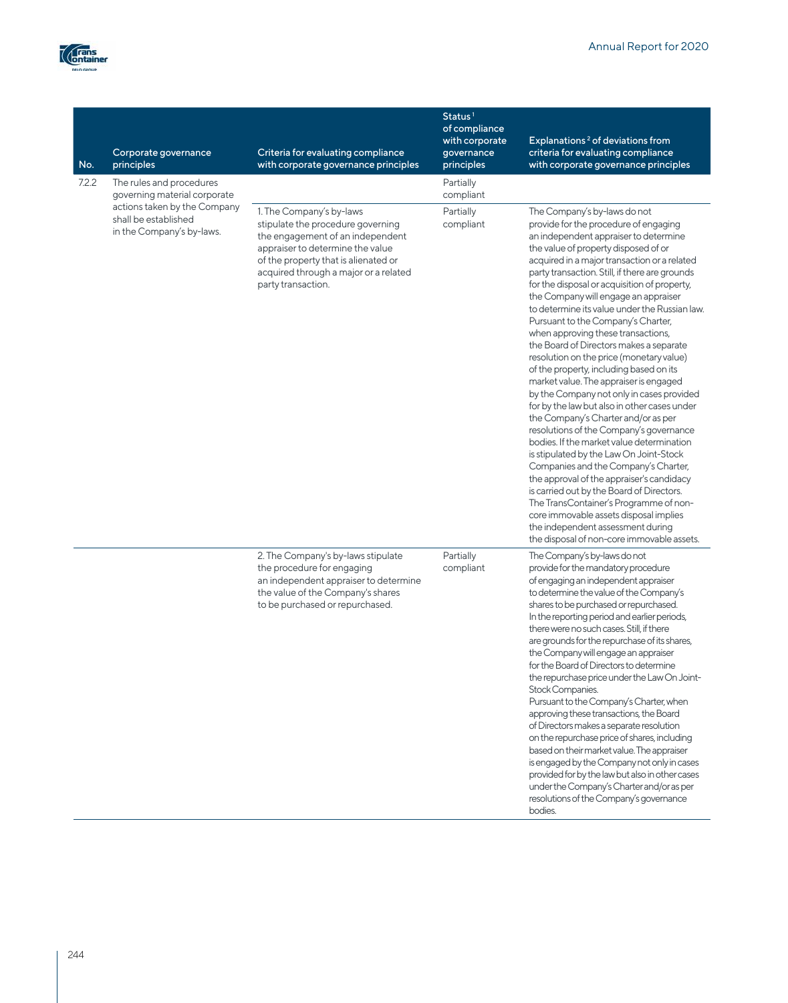

| No.   | Corporate governance<br>principles                                                                                                            | Criteria for evaluating compliance<br>with corporate governance principles                                                                                                                                                                   | Status <sup>1</sup><br>of compliance<br>with corporate<br>governance<br>principles | Explanations <sup>2</sup> of deviations from<br>criteria for evaluating compliance<br>with corporate governance principles                                                                                                                                                                                                                                                                                                                                                                                                                                                                                                                                                                                                                                                                                                                                                                                                                                                                                                                                                                                                                                                                                                                |
|-------|-----------------------------------------------------------------------------------------------------------------------------------------------|----------------------------------------------------------------------------------------------------------------------------------------------------------------------------------------------------------------------------------------------|------------------------------------------------------------------------------------|-------------------------------------------------------------------------------------------------------------------------------------------------------------------------------------------------------------------------------------------------------------------------------------------------------------------------------------------------------------------------------------------------------------------------------------------------------------------------------------------------------------------------------------------------------------------------------------------------------------------------------------------------------------------------------------------------------------------------------------------------------------------------------------------------------------------------------------------------------------------------------------------------------------------------------------------------------------------------------------------------------------------------------------------------------------------------------------------------------------------------------------------------------------------------------------------------------------------------------------------|
| 7.2.2 | The rules and procedures<br>governing material corporate<br>actions taken by the Company<br>shall be established<br>in the Company's by-laws. |                                                                                                                                                                                                                                              | Partially<br>compliant                                                             |                                                                                                                                                                                                                                                                                                                                                                                                                                                                                                                                                                                                                                                                                                                                                                                                                                                                                                                                                                                                                                                                                                                                                                                                                                           |
|       |                                                                                                                                               | 1. The Company's by-laws<br>stipulate the procedure governing<br>the engagement of an independent<br>appraiser to determine the value<br>of the property that is alienated or<br>acquired through a major or a related<br>party transaction. | Partially<br>compliant                                                             | The Company's by-laws do not<br>provide for the procedure of engaging<br>an independent appraiser to determine<br>the value of property disposed of or<br>acquired in a major transaction or a related<br>party transaction. Still, if there are grounds<br>for the disposal or acquisition of property,<br>the Company will engage an appraiser<br>to determine its value under the Russian law.<br>Pursuant to the Company's Charter,<br>when approving these transactions,<br>the Board of Directors makes a separate<br>resolution on the price (monetary value)<br>of the property, including based on its<br>market value. The appraiser is engaged<br>by the Company not only in cases provided<br>for by the law but also in other cases under<br>the Company's Charter and/or as per<br>resolutions of the Company's governance<br>bodies. If the market value determination<br>is stipulated by the Law On Joint-Stock<br>Companies and the Company's Charter,<br>the approval of the appraiser's candidacy<br>is carried out by the Board of Directors.<br>The TransContainer's Programme of non-<br>core immovable assets disposal implies<br>the independent assessment during<br>the disposal of non-core immovable assets. |
|       |                                                                                                                                               | 2. The Company's by-laws stipulate<br>the procedure for engaging<br>an independent appraiser to determine<br>the value of the Company's shares<br>to be purchased or repurchased.                                                            | Partially<br>compliant                                                             | The Company's by-laws do not<br>provide for the mandatory procedure<br>of engaging an independent appraiser<br>to determine the value of the Company's<br>shares to be purchased or repurchased.<br>In the reporting period and earlier periods,<br>there were no such cases. Still, if there<br>are grounds for the repurchase of its shares,<br>the Company will engage an appraiser<br>for the Board of Directors to determine<br>the repurchase price under the Law On Joint-<br>Stock Companies.<br>Pursuant to the Company's Charter, when<br>approving these transactions, the Board<br>of Directors makes a separate resolution<br>on the repurchase price of shares, including<br>based on their market value. The appraiser<br>is engaged by the Company not only in cases<br>provided for by the law but also in other cases<br>under the Company's Charter and/or as per<br>resolutions of the Company's governance<br>bodies.                                                                                                                                                                                                                                                                                                |